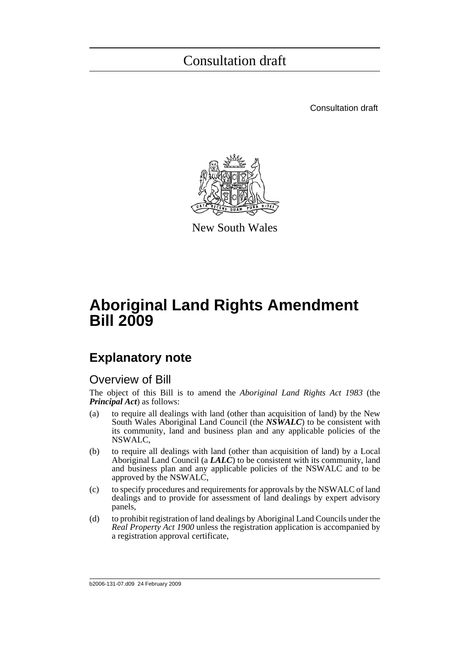Consultation draft



New South Wales

# **Aboriginal Land Rights Amendment Bill 2009**

### **Explanatory note**

### Overview of Bill

The object of this Bill is to amend the *Aboriginal Land Rights Act 1983* (the *Principal Act*) as follows:

- (a) to require all dealings with land (other than acquisition of land) by the New South Wales Aboriginal Land Council (the *NSWALC*) to be consistent with its community, land and business plan and any applicable policies of the NSWALC,
- (b) to require all dealings with land (other than acquisition of land) by a Local Aboriginal Land Council (a *LALC*) to be consistent with its community, land and business plan and any applicable policies of the NSWALC and to be approved by the NSWALC,
- (c) to specify procedures and requirements for approvals by the NSWALC of land dealings and to provide for assessment of land dealings by expert advisory panels,
- (d) to prohibit registration of land dealings by Aboriginal Land Councils under the *Real Property Act 1900* unless the registration application is accompanied by a registration approval certificate,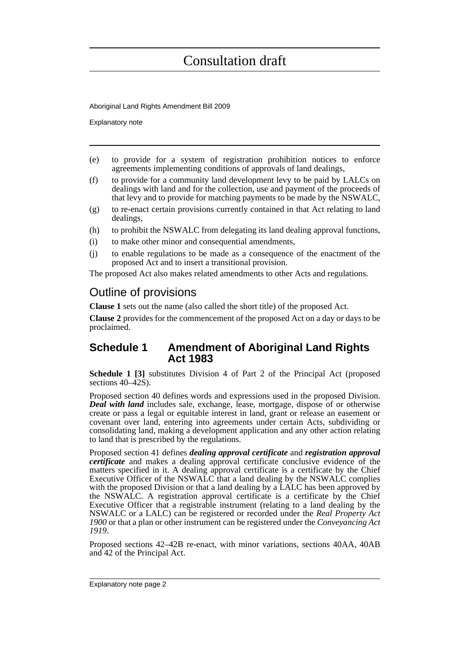Aboriginal Land Rights Amendment Bill 2009

Explanatory note

- (e) to provide for a system of registration prohibition notices to enforce agreements implementing conditions of approvals of land dealings,
- (f) to provide for a community land development levy to be paid by LALCs on dealings with land and for the collection, use and payment of the proceeds of that levy and to provide for matching payments to be made by the NSWALC,
- (g) to re-enact certain provisions currently contained in that Act relating to land dealings,
- (h) to prohibit the NSWALC from delegating its land dealing approval functions,
- (i) to make other minor and consequential amendments,
- (j) to enable regulations to be made as a consequence of the enactment of the proposed Act and to insert a transitional provision.

The proposed Act also makes related amendments to other Acts and regulations.

### Outline of provisions

**Clause 1** sets out the name (also called the short title) of the proposed Act.

**Clause 2** provides for the commencement of the proposed Act on a day or days to be proclaimed.

### **Schedule 1 Amendment of Aboriginal Land Rights Act 1983**

**Schedule 1 [3]** substitutes Division 4 of Part 2 of the Principal Act (proposed sections  $40-42S$ ).

Proposed section 40 defines words and expressions used in the proposed Division. *Deal with land* includes sale, exchange, lease, mortgage, dispose of or otherwise create or pass a legal or equitable interest in land, grant or release an easement or covenant over land, entering into agreements under certain Acts, subdividing or consolidating land, making a development application and any other action relating to land that is prescribed by the regulations.

Proposed section 41 defines *dealing approval certificate* and *registration approval certificate* and makes a dealing approval certificate conclusive evidence of the matters specified in it. A dealing approval certificate is a certificate by the Chief Executive Officer of the NSWALC that a land dealing by the NSWALC complies with the proposed Division or that a land dealing by a LALC has been approved by the NSWALC. A registration approval certificate is a certificate by the Chief Executive Officer that a registrable instrument (relating to a land dealing by the NSWALC or a LALC) can be registered or recorded under the *Real Property Act 1900* or that a plan or other instrument can be registered under the *Conveyancing Act 1919*.

Proposed sections 42–42B re-enact, with minor variations, sections 40AA, 40AB and 42 of the Principal Act.

Explanatory note page 2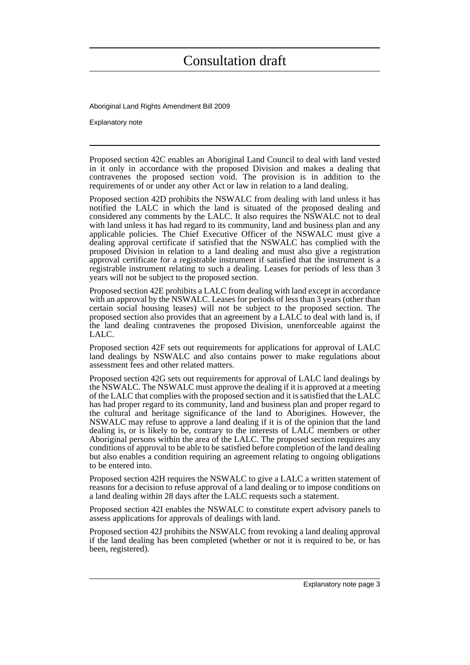Aboriginal Land Rights Amendment Bill 2009

Explanatory note

Proposed section 42C enables an Aboriginal Land Council to deal with land vested in it only in accordance with the proposed Division and makes a dealing that contravenes the proposed section void. The provision is in addition to the requirements of or under any other Act or law in relation to a land dealing.

Proposed section 42D prohibits the NSWALC from dealing with land unless it has notified the LALC in which the land is situated of the proposed dealing and considered any comments by the LALC. It also requires the NSWALC not to deal with land unless it has had regard to its community, land and business plan and any applicable policies. The Chief Executive Officer of the NSWALC must give a dealing approval certificate if satisfied that the NSWALC has complied with the proposed Division in relation to a land dealing and must also give a registration approval certificate for a registrable instrument if satisfied that the instrument is a registrable instrument relating to such a dealing. Leases for periods of less than 3 years will not be subject to the proposed section.

Proposed section 42E prohibits a LALC from dealing with land except in accordance with an approval by the NSWALC. Leases for periods of less than 3 years (other than certain social housing leases) will not be subject to the proposed section. The proposed section also provides that an agreement by a LALC to deal with land is, if the land dealing contravenes the proposed Division, unenforceable against the LALC.

Proposed section 42F sets out requirements for applications for approval of LALC land dealings by NSWALC and also contains power to make regulations about assessment fees and other related matters.

Proposed section 42G sets out requirements for approval of LALC land dealings by the NSWALC. The NSWALC must approve the dealing if it is approved at a meeting of the LALC that complies with the proposed section and it is satisfied that the LALC has had proper regard to its community, land and business plan and proper regard to the cultural and heritage significance of the land to Aborigines. However, the NSWALC may refuse to approve a land dealing if it is of the opinion that the land dealing is, or is likely to be, contrary to the interests of LALC members or other Aboriginal persons within the area of the LALC. The proposed section requires any conditions of approval to be able to be satisfied before completion of the land dealing but also enables a condition requiring an agreement relating to ongoing obligations to be entered into.

Proposed section 42H requires the NSWALC to give a LALC a written statement of reasons for a decision to refuse approval of a land dealing or to impose conditions on a land dealing within 28 days after the LALC requests such a statement.

Proposed section 42I enables the NSWALC to constitute expert advisory panels to assess applications for approvals of dealings with land.

Proposed section 42J prohibits the NSWALC from revoking a land dealing approval if the land dealing has been completed (whether or not it is required to be, or has been, registered).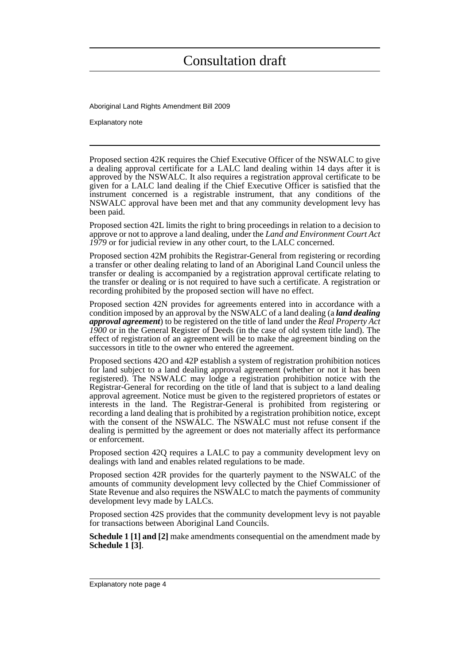Aboriginal Land Rights Amendment Bill 2009

Explanatory note

Proposed section 42K requires the Chief Executive Officer of the NSWALC to give a dealing approval certificate for a LALC land dealing within 14 days after it is approved by the NSWALC. It also requires a registration approval certificate to be given for a LALC land dealing if the Chief Executive Officer is satisfied that the instrument concerned is a registrable instrument, that any conditions of the NSWALC approval have been met and that any community development levy has been paid.

Proposed section 42L limits the right to bring proceedings in relation to a decision to approve or not to approve a land dealing, under the *Land and Environment Court Act 1979* or for judicial review in any other court, to the LALC concerned.

Proposed section 42M prohibits the Registrar-General from registering or recording a transfer or other dealing relating to land of an Aboriginal Land Council unless the transfer or dealing is accompanied by a registration approval certificate relating to the transfer or dealing or is not required to have such a certificate. A registration or recording prohibited by the proposed section will have no effect.

Proposed section 42N provides for agreements entered into in accordance with a condition imposed by an approval by the NSWALC of a land dealing (a *land dealing approval agreement*) to be registered on the title of land under the *Real Property Act 1900* or in the General Register of Deeds (in the case of old system title land). The effect of registration of an agreement will be to make the agreement binding on the successors in title to the owner who entered the agreement.

Proposed sections 42O and 42P establish a system of registration prohibition notices for land subject to a land dealing approval agreement (whether or not it has been registered). The NSWALC may lodge a registration prohibition notice with the Registrar-General for recording on the title of land that is subject to a land dealing approval agreement. Notice must be given to the registered proprietors of estates or interests in the land. The Registrar-General is prohibited from registering or recording a land dealing that is prohibited by a registration prohibition notice, except with the consent of the NSWALC. The NSWALC must not refuse consent if the dealing is permitted by the agreement or does not materially affect its performance or enforcement.

Proposed section 42Q requires a LALC to pay a community development levy on dealings with land and enables related regulations to be made.

Proposed section 42R provides for the quarterly payment to the NSWALC of the amounts of community development levy collected by the Chief Commissioner of State Revenue and also requires the NSWALC to match the payments of community development levy made by LALCs.

Proposed section 42S provides that the community development levy is not payable for transactions between Aboriginal Land Councils.

**Schedule 1 [1] and [2]** make amendments consequential on the amendment made by **Schedule 1 [3]**.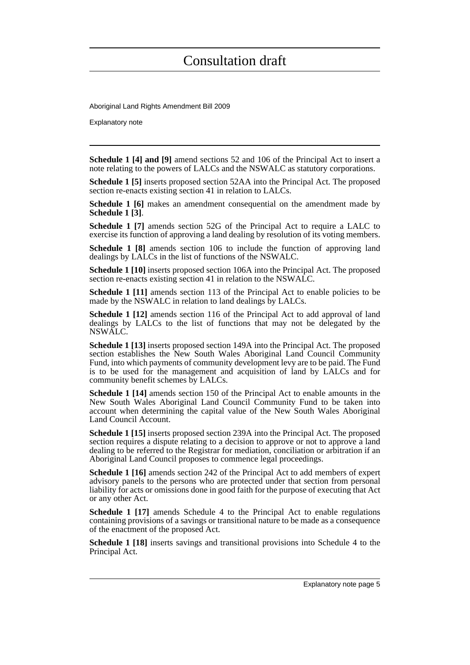Aboriginal Land Rights Amendment Bill 2009

Explanatory note

**Schedule 1 [4] and [9]** amend sections 52 and 106 of the Principal Act to insert a note relating to the powers of LALCs and the NSWALC as statutory corporations.

**Schedule 1 [5]** inserts proposed section 52AA into the Principal Act. The proposed section re-enacts existing section 41 in relation to LALCs.

**Schedule 1 [6]** makes an amendment consequential on the amendment made by **Schedule 1 [3]**.

**Schedule 1 [7]** amends section 52G of the Principal Act to require a LALC to exercise its function of approving a land dealing by resolution of its voting members.

**Schedule 1 [8]** amends section 106 to include the function of approving land dealings by LALCs in the list of functions of the NSWALC.

**Schedule 1 [10]** inserts proposed section 106A into the Principal Act. The proposed section re-enacts existing section 41 in relation to the NSWALC.

**Schedule 1 [11]** amends section 113 of the Principal Act to enable policies to be made by the NSWALC in relation to land dealings by LALCs.

**Schedule 1 [12]** amends section 116 of the Principal Act to add approval of land dealings by LALCs to the list of functions that may not be delegated by the NSWALC.

**Schedule 1 [13]** inserts proposed section 149A into the Principal Act. The proposed section establishes the New South Wales Aboriginal Land Council Community Fund, into which payments of community development levy are to be paid. The Fund is to be used for the management and acquisition of land by LALCs and for community benefit schemes by LALCs.

**Schedule 1 [14]** amends section 150 of the Principal Act to enable amounts in the New South Wales Aboriginal Land Council Community Fund to be taken into account when determining the capital value of the New South Wales Aboriginal Land Council Account.

**Schedule 1 [15]** inserts proposed section 239A into the Principal Act. The proposed section requires a dispute relating to a decision to approve or not to approve a land dealing to be referred to the Registrar for mediation, conciliation or arbitration if an Aboriginal Land Council proposes to commence legal proceedings.

**Schedule 1 [16]** amends section 242 of the Principal Act to add members of expert advisory panels to the persons who are protected under that section from personal liability for acts or omissions done in good faith for the purpose of executing that Act or any other Act.

**Schedule 1 [17]** amends Schedule 4 to the Principal Act to enable regulations containing provisions of a savings or transitional nature to be made as a consequence of the enactment of the proposed Act.

**Schedule 1 [18]** inserts savings and transitional provisions into Schedule 4 to the Principal Act.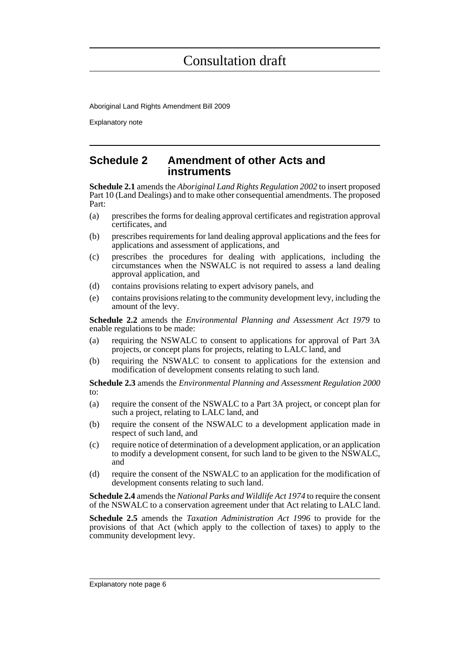Aboriginal Land Rights Amendment Bill 2009

Explanatory note

### **Schedule 2 Amendment of other Acts and instruments**

**Schedule 2.1** amends the *Aboriginal Land Rights Regulation 2002* to insert proposed Part 10 (Land Dealings) and to make other consequential amendments. The proposed Part:

- (a) prescribes the forms for dealing approval certificates and registration approval certificates, and
- (b) prescribes requirements for land dealing approval applications and the fees for applications and assessment of applications, and
- (c) prescribes the procedures for dealing with applications, including the circumstances when the NSWALC is not required to assess a land dealing approval application, and
- (d) contains provisions relating to expert advisory panels, and
- (e) contains provisions relating to the community development levy, including the amount of the levy.

**Schedule 2.2** amends the *Environmental Planning and Assessment Act 1979* to enable regulations to be made:

- (a) requiring the NSWALC to consent to applications for approval of Part 3A projects, or concept plans for projects, relating to LALC land, and
- (b) requiring the NSWALC to consent to applications for the extension and modification of development consents relating to such land.

**Schedule 2.3** amends the *Environmental Planning and Assessment Regulation 2000* to:

- (a) require the consent of the NSWALC to a Part 3A project, or concept plan for such a project, relating to LALC land, and
- (b) require the consent of the NSWALC to a development application made in respect of such land, and
- (c) require notice of determination of a development application, or an application to modify a development consent, for such land to be given to the NSWALC, and
- (d) require the consent of the NSWALC to an application for the modification of development consents relating to such land.

**Schedule 2.4** amends the *National Parks and Wildlife Act 1974* to require the consent of the NSWALC to a conservation agreement under that Act relating to LALC land.

**Schedule 2.5** amends the *Taxation Administration Act 1996* to provide for the provisions of that Act (which apply to the collection of taxes) to apply to the community development levy.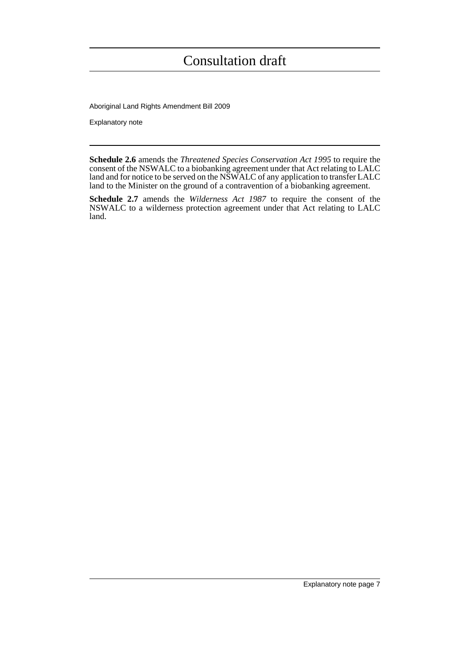Aboriginal Land Rights Amendment Bill 2009

Explanatory note

**Schedule 2.6** amends the *Threatened Species Conservation Act 1995* to require the consent of the NSWALC to a biobanking agreement under that Act relating to LALC land and for notice to be served on the NSWALC of any application to transfer LALC land to the Minister on the ground of a contravention of a biobanking agreement.

**Schedule 2.7** amends the *Wilderness Act 1987* to require the consent of the NSWALC to a wilderness protection agreement under that Act relating to LALC land.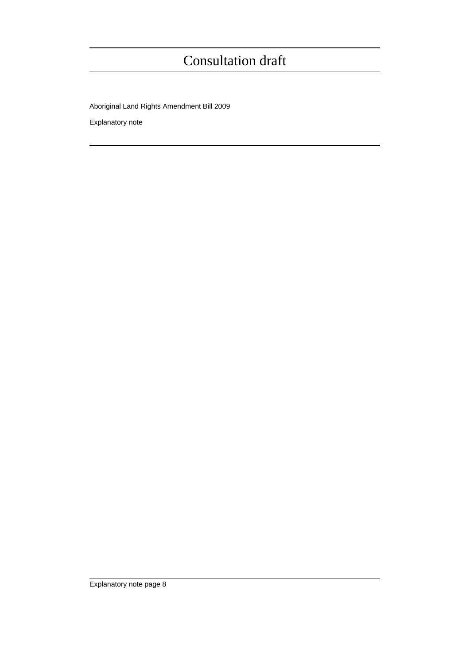Aboriginal Land Rights Amendment Bill 2009

Explanatory note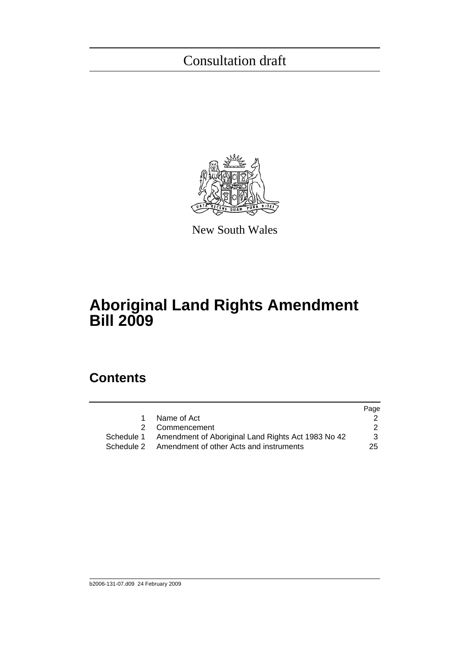

New South Wales

# **Aboriginal Land Rights Amendment Bill 2009**

### **Contents**

|           |                                                               | Page          |
|-----------|---------------------------------------------------------------|---------------|
| $1 \quad$ | Name of Act                                                   |               |
|           | 2 Commencement                                                | $\mathcal{P}$ |
|           | Schedule 1 Amendment of Aboriginal Land Rights Act 1983 No 42 | 3             |
|           | Schedule 2 Amendment of other Acts and instruments            | 25.           |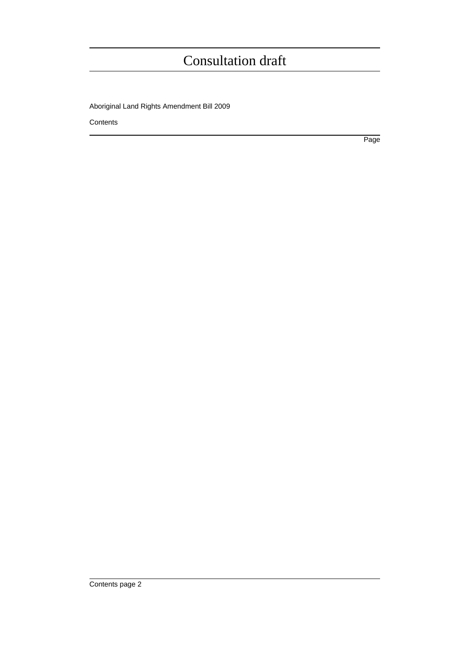Aboriginal Land Rights Amendment Bill 2009

**Contents** 

Page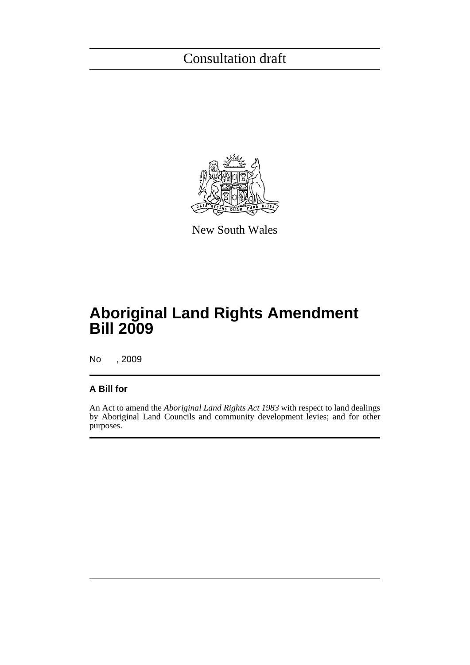

New South Wales

## **Aboriginal Land Rights Amendment Bill 2009**

No , 2009

### **A Bill for**

An Act to amend the *Aboriginal Land Rights Act 1983* with respect to land dealings by Aboriginal Land Councils and community development levies; and for other purposes.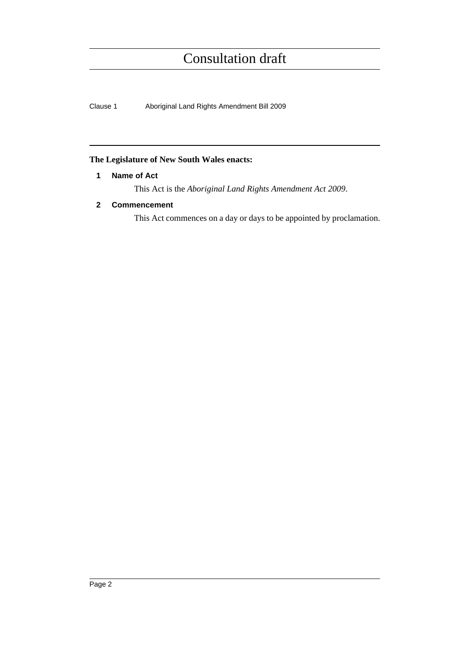Clause 1 Aboriginal Land Rights Amendment Bill 2009

### <span id="page-11-0"></span>**The Legislature of New South Wales enacts:**

### **1 Name of Act**

This Act is the *Aboriginal Land Rights Amendment Act 2009*.

### <span id="page-11-1"></span>**2 Commencement**

This Act commences on a day or days to be appointed by proclamation.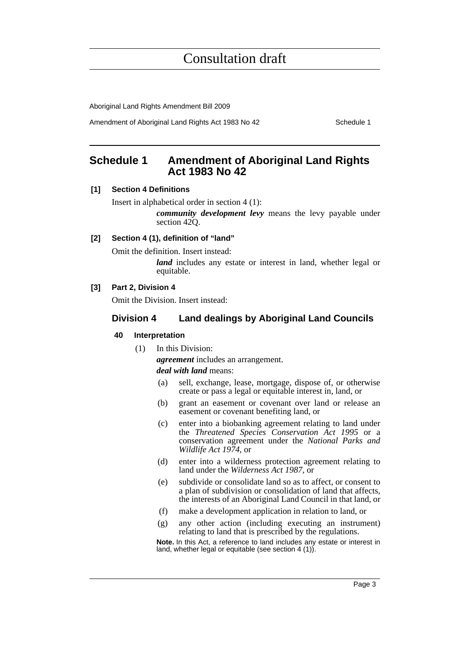Aboriginal Land Rights Amendment Bill 2009

Amendment of Aboriginal Land Rights Act 1983 No 42 Schedule 1

### <span id="page-12-0"></span>**Schedule 1 Amendment of Aboriginal Land Rights Act 1983 No 42**

### **[1] Section 4 Definitions**

Insert in alphabetical order in section 4 (1):

*community development levy* means the levy payable under section 42Q.

### **[2] Section 4 (1), definition of "land"**

Omit the definition. Insert instead:

*land* includes any estate or interest in land, whether legal or equitable.

### **[3] Part 2, Division 4**

Omit the Division. Insert instead:

### **Division 4 Land dealings by Aboriginal Land Councils**

### **40 Interpretation**

(1) In this Division:

*agreement* includes an arrangement.

*deal with land* means:

- (a) sell, exchange, lease, mortgage, dispose of, or otherwise create or pass a legal or equitable interest in, land, or
- (b) grant an easement or covenant over land or release an easement or covenant benefiting land, or
- (c) enter into a biobanking agreement relating to land under the *Threatened Species Conservation Act 1995* or a conservation agreement under the *National Parks and Wildlife Act 1974*, or
- (d) enter into a wilderness protection agreement relating to land under the *Wilderness Act 1987*, or
- (e) subdivide or consolidate land so as to affect, or consent to a plan of subdivision or consolidation of land that affects, the interests of an Aboriginal Land Council in that land, or
- (f) make a development application in relation to land, or
- (g) any other action (including executing an instrument) relating to land that is prescribed by the regulations.

**Note.** In this Act, a reference to land includes any estate or interest in land, whether legal or equitable (see section 4 (1)).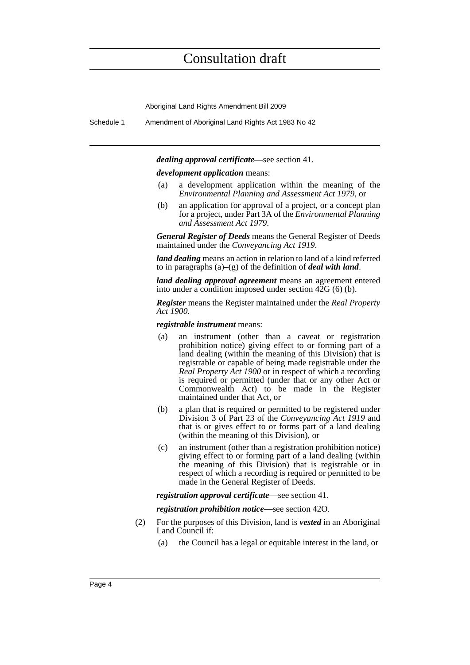Aboriginal Land Rights Amendment Bill 2009

Schedule 1 Amendment of Aboriginal Land Rights Act 1983 No 42

*dealing approval certificate*—see section 41.

*development application* means:

- (a) a development application within the meaning of the *Environmental Planning and Assessment Act 1979*, or
- (b) an application for approval of a project, or a concept plan for a project, under Part 3A of the *Environmental Planning and Assessment Act 1979*.

*General Register of Deeds* means the General Register of Deeds maintained under the *Conveyancing Act 1919*.

*land dealing* means an action in relation to land of a kind referred to in paragraphs (a)–(g) of the definition of *deal with land*.

*land dealing approval agreement* means an agreement entered into under a condition imposed under section  $42G(6)$  (b).

*Register* means the Register maintained under the *Real Property Act 1900*.

*registrable instrument* means:

- (a) an instrument (other than a caveat or registration prohibition notice) giving effect to or forming part of a land dealing (within the meaning of this Division) that is registrable or capable of being made registrable under the *Real Property Act 1900* or in respect of which a recording is required or permitted (under that or any other Act or Commonwealth Act) to be made in the Register maintained under that Act, or
- (b) a plan that is required or permitted to be registered under Division 3 of Part 23 of the *Conveyancing Act 1919* and that is or gives effect to or forms part of a land dealing (within the meaning of this Division), or
- (c) an instrument (other than a registration prohibition notice) giving effect to or forming part of a land dealing (within the meaning of this Division) that is registrable or in respect of which a recording is required or permitted to be made in the General Register of Deeds.

*registration approval certificate*—see section 41.

*registration prohibition notice*—see section 42O.

- (2) For the purposes of this Division, land is *vested* in an Aboriginal Land Council if:
	- (a) the Council has a legal or equitable interest in the land, or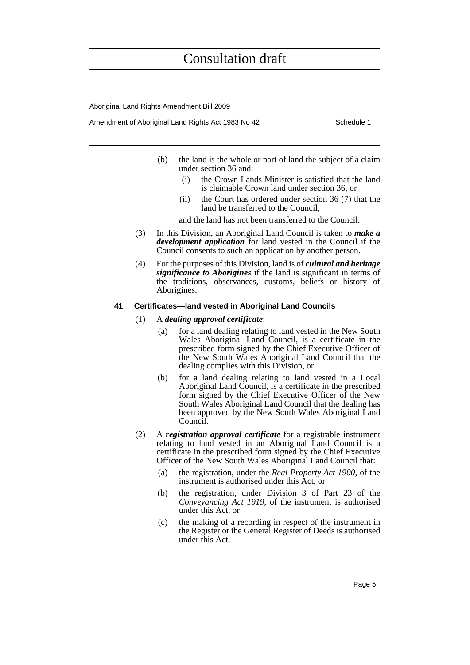Aboriginal Land Rights Amendment Bill 2009

Amendment of Aboriginal Land Rights Act 1983 No 42 Schedule 1

- (b) the land is the whole or part of land the subject of a claim under section 36 and:
	- (i) the Crown Lands Minister is satisfied that the land is claimable Crown land under section 36, or
	- (ii) the Court has ordered under section 36 (7) that the land be transferred to the Council,

and the land has not been transferred to the Council.

- (3) In this Division, an Aboriginal Land Council is taken to *make a development application* for land vested in the Council if the Council consents to such an application by another person.
- (4) For the purposes of this Division, land is of *cultural and heritage significance to Aborigines* if the land is significant in terms of the traditions, observances, customs, beliefs or history of Aborigines.

### **41 Certificates—land vested in Aboriginal Land Councils**

- (1) A *dealing approval certificate*:
	- (a) for a land dealing relating to land vested in the New South Wales Aboriginal Land Council, is a certificate in the prescribed form signed by the Chief Executive Officer of the New South Wales Aboriginal Land Council that the dealing complies with this Division, or
	- (b) for a land dealing relating to land vested in a Local Aboriginal Land Council, is a certificate in the prescribed form signed by the Chief Executive Officer of the New South Wales Aboriginal Land Council that the dealing has been approved by the New South Wales Aboriginal Land Council.
- (2) A *registration approval certificate* for a registrable instrument relating to land vested in an Aboriginal Land Council is a certificate in the prescribed form signed by the Chief Executive Officer of the New South Wales Aboriginal Land Council that:
	- (a) the registration, under the *Real Property Act 1900*, of the instrument is authorised under this Act, or
	- (b) the registration, under Division 3 of Part 23 of the *Conveyancing Act 1919*, of the instrument is authorised under this Act, or
	- (c) the making of a recording in respect of the instrument in the Register or the General Register of Deeds is authorised under this Act.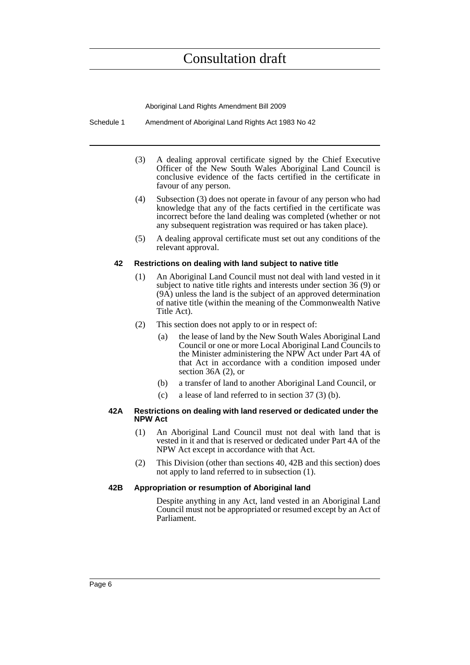Aboriginal Land Rights Amendment Bill 2009

- Schedule 1 Amendment of Aboriginal Land Rights Act 1983 No 42
	- (3) A dealing approval certificate signed by the Chief Executive Officer of the New South Wales Aboriginal Land Council is conclusive evidence of the facts certified in the certificate in favour of any person.
	- (4) Subsection (3) does not operate in favour of any person who had knowledge that any of the facts certified in the certificate was incorrect before the land dealing was completed (whether or not any subsequent registration was required or has taken place).
	- (5) A dealing approval certificate must set out any conditions of the relevant approval.

### **42 Restrictions on dealing with land subject to native title**

- (1) An Aboriginal Land Council must not deal with land vested in it subject to native title rights and interests under section 36 (9) or (9A) unless the land is the subject of an approved determination of native title (within the meaning of the Commonwealth Native Title Act).
- (2) This section does not apply to or in respect of:
	- (a) the lease of land by the New South Wales Aboriginal Land Council or one or more Local Aboriginal Land Councils to the Minister administering the NPW Act under Part 4A of that Act in accordance with a condition imposed under section 36A (2), or
	- (b) a transfer of land to another Aboriginal Land Council, or
	- (c) a lease of land referred to in section 37 (3) (b).

### **42A Restrictions on dealing with land reserved or dedicated under the NPW Act**

- (1) An Aboriginal Land Council must not deal with land that is vested in it and that is reserved or dedicated under Part 4A of the NPW Act except in accordance with that Act.
- (2) This Division (other than sections 40, 42B and this section) does not apply to land referred to in subsection (1).

### **42B Appropriation or resumption of Aboriginal land**

Despite anything in any Act, land vested in an Aboriginal Land Council must not be appropriated or resumed except by an Act of Parliament.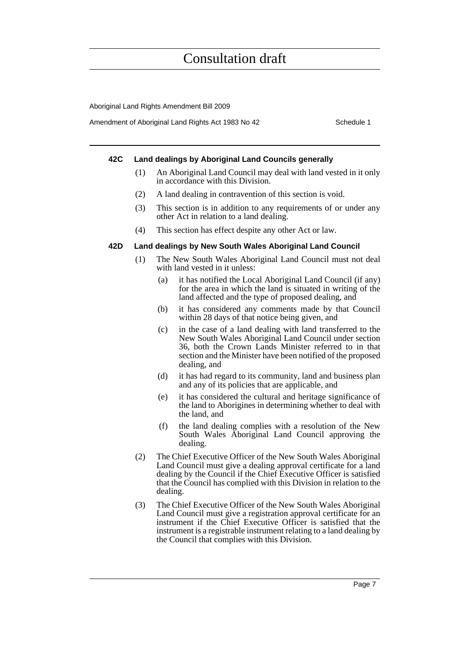Aboriginal Land Rights Amendment Bill 2009

Amendment of Aboriginal Land Rights Act 1983 No 42 Schedule 1

#### **42C Land dealings by Aboriginal Land Councils generally**

- (1) An Aboriginal Land Council may deal with land vested in it only in accordance with this Division.
- (2) A land dealing in contravention of this section is void.
- (3) This section is in addition to any requirements of or under any other Act in relation to a land dealing.
- (4) This section has effect despite any other Act or law.

### **42D Land dealings by New South Wales Aboriginal Land Council**

- (1) The New South Wales Aboriginal Land Council must not deal with land vested in it unless:
	- (a) it has notified the Local Aboriginal Land Council (if any) for the area in which the land is situated in writing of the land affected and the type of proposed dealing, and
	- (b) it has considered any comments made by that Council within 28 days of that notice being given, and
	- (c) in the case of a land dealing with land transferred to the New South Wales Aboriginal Land Council under section 36, both the Crown Lands Minister referred to in that section and the Minister have been notified of the proposed dealing, and
	- (d) it has had regard to its community, land and business plan and any of its policies that are applicable, and
	- (e) it has considered the cultural and heritage significance of the land to Aborigines in determining whether to deal with the land, and
	- (f) the land dealing complies with a resolution of the New South Wales Aboriginal Land Council approving the dealing.
- (2) The Chief Executive Officer of the New South Wales Aboriginal Land Council must give a dealing approval certificate for a land dealing by the Council if the Chief Executive Officer is satisfied that the Council has complied with this Division in relation to the dealing.
- (3) The Chief Executive Officer of the New South Wales Aboriginal Land Council must give a registration approval certificate for an instrument if the Chief Executive Officer is satisfied that the instrument is a registrable instrument relating to a land dealing by the Council that complies with this Division.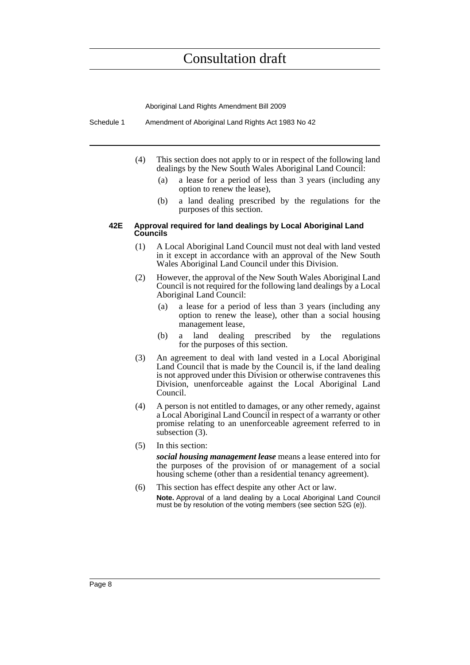Aboriginal Land Rights Amendment Bill 2009

Schedule 1 Amendment of Aboriginal Land Rights Act 1983 No 42

- (4) This section does not apply to or in respect of the following land dealings by the New South Wales Aboriginal Land Council:
	- (a) a lease for a period of less than 3 years (including any option to renew the lease),
	- (b) a land dealing prescribed by the regulations for the purposes of this section.

### **42E Approval required for land dealings by Local Aboriginal Land Councils**

- (1) A Local Aboriginal Land Council must not deal with land vested in it except in accordance with an approval of the New South Wales Aboriginal Land Council under this Division.
- (2) However, the approval of the New South Wales Aboriginal Land Council is not required for the following land dealings by a Local Aboriginal Land Council:
	- (a) a lease for a period of less than 3 years (including any option to renew the lease), other than a social housing management lease,
	- (b) a land dealing prescribed by the regulations for the purposes of this section.
- (3) An agreement to deal with land vested in a Local Aboriginal Land Council that is made by the Council is, if the land dealing is not approved under this Division or otherwise contravenes this Division, unenforceable against the Local Aboriginal Land Council.
- (4) A person is not entitled to damages, or any other remedy, against a Local Aboriginal Land Council in respect of a warranty or other promise relating to an unenforceable agreement referred to in subsection (3).
- (5) In this section:

*social housing management lease* means a lease entered into for the purposes of the provision of or management of a social housing scheme (other than a residential tenancy agreement).

(6) This section has effect despite any other Act or law. **Note.** Approval of a land dealing by a Local Aboriginal Land Council must be by resolution of the voting members (see section 52G (e)).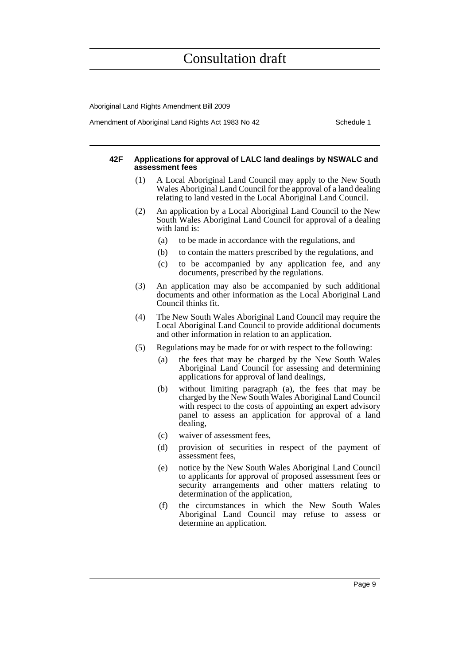Aboriginal Land Rights Amendment Bill 2009

Amendment of Aboriginal Land Rights Act 1983 No 42 Schedule 1

#### **42F Applications for approval of LALC land dealings by NSWALC and assessment fees**

- (1) A Local Aboriginal Land Council may apply to the New South Wales Aboriginal Land Council for the approval of a land dealing relating to land vested in the Local Aboriginal Land Council.
- (2) An application by a Local Aboriginal Land Council to the New South Wales Aboriginal Land Council for approval of a dealing with land is:
	- (a) to be made in accordance with the regulations, and
	- (b) to contain the matters prescribed by the regulations, and
	- (c) to be accompanied by any application fee, and any documents, prescribed by the regulations.
- (3) An application may also be accompanied by such additional documents and other information as the Local Aboriginal Land Council thinks fit.
- (4) The New South Wales Aboriginal Land Council may require the Local Aboriginal Land Council to provide additional documents and other information in relation to an application.
- (5) Regulations may be made for or with respect to the following:
	- (a) the fees that may be charged by the New South Wales Aboriginal Land Council for assessing and determining applications for approval of land dealings,
	- (b) without limiting paragraph (a), the fees that may be charged by the New South Wales Aboriginal Land Council with respect to the costs of appointing an expert advisory panel to assess an application for approval of a land dealing,
	- (c) waiver of assessment fees,
	- (d) provision of securities in respect of the payment of assessment fees,
	- (e) notice by the New South Wales Aboriginal Land Council to applicants for approval of proposed assessment fees or security arrangements and other matters relating to determination of the application,
	- (f) the circumstances in which the New South Wales Aboriginal Land Council may refuse to assess or determine an application.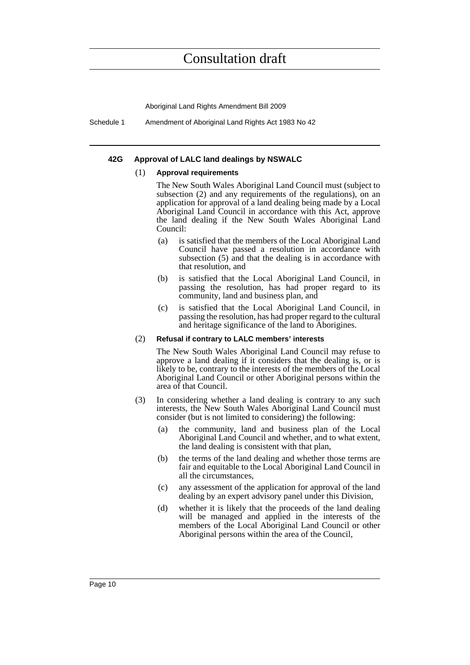Aboriginal Land Rights Amendment Bill 2009

Schedule 1 Amendment of Aboriginal Land Rights Act 1983 No 42

### **42G Approval of LALC land dealings by NSWALC**

### (1) **Approval requirements**

The New South Wales Aboriginal Land Council must (subject to subsection (2) and any requirements of the regulations), on an application for approval of a land dealing being made by a Local Aboriginal Land Council in accordance with this Act, approve the land dealing if the New South Wales Aboriginal Land Council:

- (a) is satisfied that the members of the Local Aboriginal Land Council have passed a resolution in accordance with subsection (5) and that the dealing is in accordance with that resolution, and
- (b) is satisfied that the Local Aboriginal Land Council, in passing the resolution, has had proper regard to its community, land and business plan, and
- (c) is satisfied that the Local Aboriginal Land Council, in passing the resolution, has had proper regard to the cultural and heritage significance of the land to Aborigines.

### (2) **Refusal if contrary to LALC members' interests**

The New South Wales Aboriginal Land Council may refuse to approve a land dealing if it considers that the dealing is, or is likely to be, contrary to the interests of the members of the Local Aboriginal Land Council or other Aboriginal persons within the area of that Council.

- (3) In considering whether a land dealing is contrary to any such interests, the New South Wales Aboriginal Land Council must consider (but is not limited to considering) the following:
	- (a) the community, land and business plan of the Local Aboriginal Land Council and whether, and to what extent, the land dealing is consistent with that plan,
	- (b) the terms of the land dealing and whether those terms are fair and equitable to the Local Aboriginal Land Council in all the circumstances,
	- (c) any assessment of the application for approval of the land dealing by an expert advisory panel under this Division,
	- (d) whether it is likely that the proceeds of the land dealing will be managed and applied in the interests of the members of the Local Aboriginal Land Council or other Aboriginal persons within the area of the Council,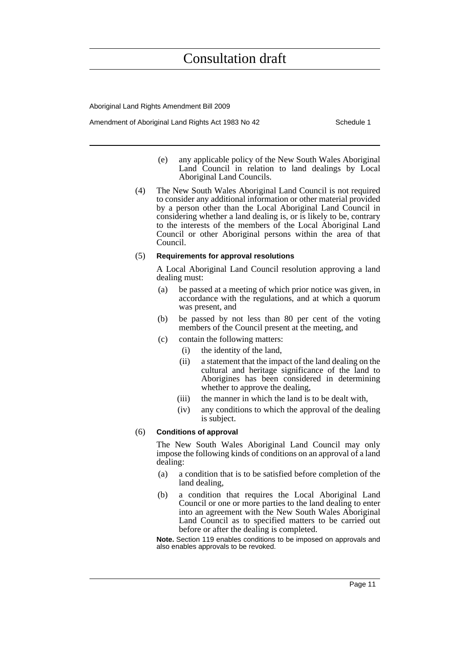Aboriginal Land Rights Amendment Bill 2009

Amendment of Aboriginal Land Rights Act 1983 No 42 Schedule 1

- (e) any applicable policy of the New South Wales Aboriginal Land Council in relation to land dealings by Local Aboriginal Land Councils.
- (4) The New South Wales Aboriginal Land Council is not required to consider any additional information or other material provided by a person other than the Local Aboriginal Land Council in considering whether a land dealing is, or is likely to be, contrary to the interests of the members of the Local Aboriginal Land Council or other Aboriginal persons within the area of that Council.

### (5) **Requirements for approval resolutions**

A Local Aboriginal Land Council resolution approving a land dealing must:

- (a) be passed at a meeting of which prior notice was given, in accordance with the regulations, and at which a quorum was present, and
- (b) be passed by not less than 80 per cent of the voting members of the Council present at the meeting, and
- (c) contain the following matters:
	- (i) the identity of the land,
	- (ii) a statement that the impact of the land dealing on the cultural and heritage significance of the land to Aborigines has been considered in determining whether to approve the dealing,
	- (iii) the manner in which the land is to be dealt with,
	- (iv) any conditions to which the approval of the dealing is subject.

### (6) **Conditions of approval**

The New South Wales Aboriginal Land Council may only impose the following kinds of conditions on an approval of a land dealing:

- (a) a condition that is to be satisfied before completion of the land dealing,
- (b) a condition that requires the Local Aboriginal Land Council or one or more parties to the land dealing to enter into an agreement with the New South Wales Aboriginal Land Council as to specified matters to be carried out before or after the dealing is completed.

**Note.** Section 119 enables conditions to be imposed on approvals and also enables approvals to be revoked.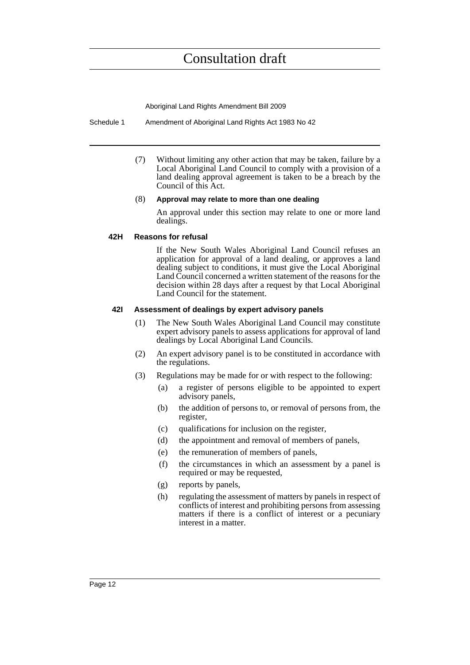Aboriginal Land Rights Amendment Bill 2009

Schedule 1 Amendment of Aboriginal Land Rights Act 1983 No 42

(7) Without limiting any other action that may be taken, failure by a Local Aboriginal Land Council to comply with a provision of a land dealing approval agreement is taken to be a breach by the Council of this Act.

### (8) **Approval may relate to more than one dealing**

An approval under this section may relate to one or more land dealings.

### **42H Reasons for refusal**

If the New South Wales Aboriginal Land Council refuses an application for approval of a land dealing, or approves a land dealing subject to conditions, it must give the Local Aboriginal Land Council concerned a written statement of the reasons for the decision within 28 days after a request by that Local Aboriginal Land Council for the statement.

#### **42I Assessment of dealings by expert advisory panels**

- (1) The New South Wales Aboriginal Land Council may constitute expert advisory panels to assess applications for approval of land dealings by Local Aboriginal Land Councils.
- (2) An expert advisory panel is to be constituted in accordance with the regulations.
- (3) Regulations may be made for or with respect to the following:
	- (a) a register of persons eligible to be appointed to expert advisory panels,
	- (b) the addition of persons to, or removal of persons from, the register,
	- (c) qualifications for inclusion on the register,
	- (d) the appointment and removal of members of panels,
	- (e) the remuneration of members of panels,
	- (f) the circumstances in which an assessment by a panel is required or may be requested,
	- (g) reports by panels,
	- (h) regulating the assessment of matters by panels in respect of conflicts of interest and prohibiting persons from assessing matters if there is a conflict of interest or a pecuniary interest in a matter.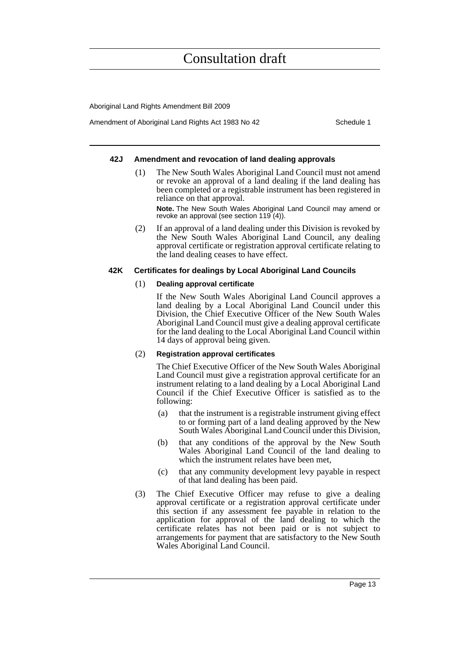Aboriginal Land Rights Amendment Bill 2009

Amendment of Aboriginal Land Rights Act 1983 No 42 Schedule 1

### **42J Amendment and revocation of land dealing approvals**

(1) The New South Wales Aboriginal Land Council must not amend or revoke an approval of a land dealing if the land dealing has been completed or a registrable instrument has been registered in reliance on that approval.

**Note.** The New South Wales Aboriginal Land Council may amend or revoke an approval (see section 119 (4)).

(2) If an approval of a land dealing under this Division is revoked by the New South Wales Aboriginal Land Council, any dealing approval certificate or registration approval certificate relating to the land dealing ceases to have effect.

### **42K Certificates for dealings by Local Aboriginal Land Councils**

### (1) **Dealing approval certificate**

If the New South Wales Aboriginal Land Council approves a land dealing by a Local Aboriginal Land Council under this Division, the Chief Executive Officer of the New South Wales Aboriginal Land Council must give a dealing approval certificate for the land dealing to the Local Aboriginal Land Council within 14 days of approval being given.

### (2) **Registration approval certificates**

The Chief Executive Officer of the New South Wales Aboriginal Land Council must give a registration approval certificate for an instrument relating to a land dealing by a Local Aboriginal Land Council if the Chief Executive Officer is satisfied as to the following:

- (a) that the instrument is a registrable instrument giving effect to or forming part of a land dealing approved by the New South Wales Aboriginal Land Council under this Division,
- (b) that any conditions of the approval by the New South Wales Aboriginal Land Council of the land dealing to which the instrument relates have been met,
- (c) that any community development levy payable in respect of that land dealing has been paid.
- (3) The Chief Executive Officer may refuse to give a dealing approval certificate or a registration approval certificate under this section if any assessment fee payable in relation to the application for approval of the land dealing to which the certificate relates has not been paid or is not subject to arrangements for payment that are satisfactory to the New South Wales Aboriginal Land Council.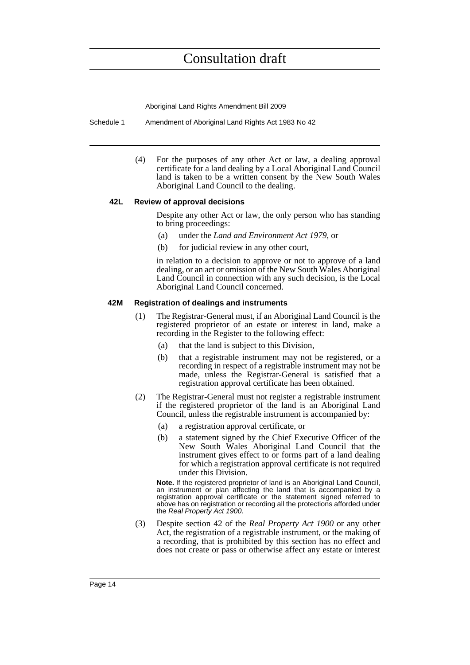Aboriginal Land Rights Amendment Bill 2009

Schedule 1 Amendment of Aboriginal Land Rights Act 1983 No 42

(4) For the purposes of any other Act or law, a dealing approval certificate for a land dealing by a Local Aboriginal Land Council land is taken to be a written consent by the New South Wales Aboriginal Land Council to the dealing.

### **42L Review of approval decisions**

Despite any other Act or law, the only person who has standing to bring proceedings:

- (a) under the *Land and Environment Act 1979,* or
- (b) for judicial review in any other court,

in relation to a decision to approve or not to approve of a land dealing, or an act or omission of the New South Wales Aboriginal Land Council in connection with any such decision, is the Local Aboriginal Land Council concerned.

#### **42M Registration of dealings and instruments**

- (1) The Registrar-General must, if an Aboriginal Land Council is the registered proprietor of an estate or interest in land, make a recording in the Register to the following effect:
	- (a) that the land is subject to this Division,
	- (b) that a registrable instrument may not be registered, or a recording in respect of a registrable instrument may not be made, unless the Registrar-General is satisfied that a registration approval certificate has been obtained.
- (2) The Registrar-General must not register a registrable instrument if the registered proprietor of the land is an Aboriginal Land Council, unless the registrable instrument is accompanied by:
	- (a) a registration approval certificate, or
	- (b) a statement signed by the Chief Executive Officer of the New South Wales Aboriginal Land Council that the instrument gives effect to or forms part of a land dealing for which a registration approval certificate is not required under this Division.

**Note.** If the registered proprietor of land is an Aboriginal Land Council, an instrument or plan affecting the land that is accompanied by a registration approval certificate or the statement signed referred to above has on registration or recording all the protections afforded under the *Real Property Act 1900*.

(3) Despite section 42 of the *Real Property Act 1900* or any other Act, the registration of a registrable instrument, or the making of a recording, that is prohibited by this section has no effect and does not create or pass or otherwise affect any estate or interest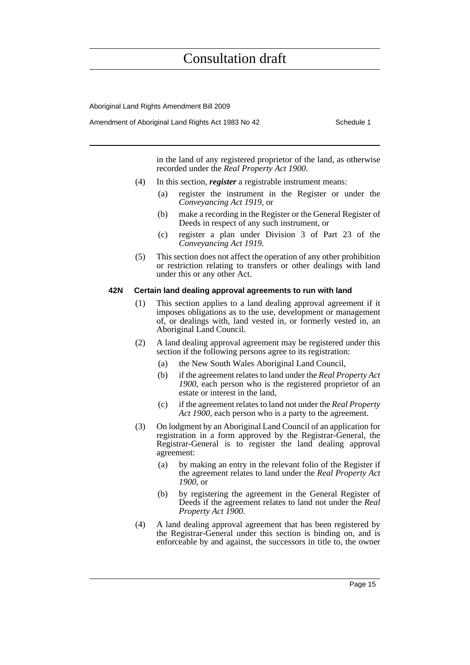Aboriginal Land Rights Amendment Bill 2009

Amendment of Aboriginal Land Rights Act 1983 No 42 Schedule 1

in the land of any registered proprietor of the land, as otherwise recorded under the *Real Property Act 1900*.

- (4) In this section, *register* a registrable instrument means:
	- (a) register the instrument in the Register or under the *Conveyancing Act 1919*, or
	- (b) make a recording in the Register or the General Register of Deeds in respect of any such instrument, or
	- (c) register a plan under Division 3 of Part 23 of the *Conveyancing Act 1919*.
- (5) This section does not affect the operation of any other prohibition or restriction relating to transfers or other dealings with land under this or any other Act.

#### **42N Certain land dealing approval agreements to run with land**

- (1) This section applies to a land dealing approval agreement if it imposes obligations as to the use, development or management of, or dealings with, land vested in, or formerly vested in, an Aboriginal Land Council.
- (2) A land dealing approval agreement may be registered under this section if the following persons agree to its registration:
	- (a) the New South Wales Aboriginal Land Council,
	- (b) if the agreement relates to land under the *Real Property Act 1900*, each person who is the registered proprietor of an estate or interest in the land,
	- (c) if the agreement relates to land not under the *Real Property Act 1900*, each person who is a party to the agreement.
- (3) On lodgment by an Aboriginal Land Council of an application for registration in a form approved by the Registrar-General, the Registrar-General is to register the land dealing approval agreement:
	- (a) by making an entry in the relevant folio of the Register if the agreement relates to land under the *Real Property Act 1900*, or
	- (b) by registering the agreement in the General Register of Deeds if the agreement relates to land not under the *Real Property Act 1900*.
- (4) A land dealing approval agreement that has been registered by the Registrar-General under this section is binding on, and is enforceable by and against, the successors in title to, the owner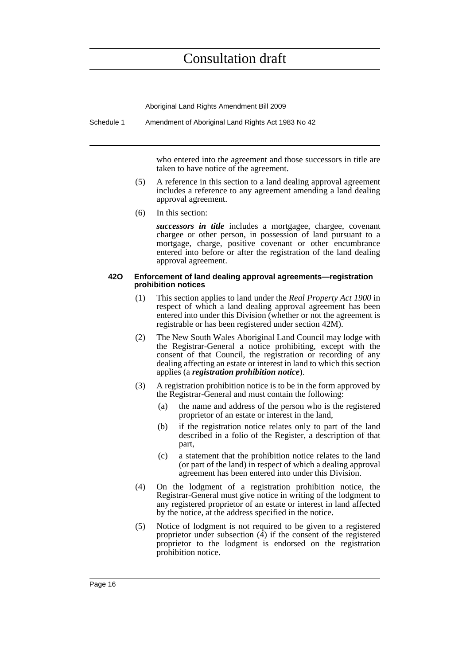Aboriginal Land Rights Amendment Bill 2009

Schedule 1 Amendment of Aboriginal Land Rights Act 1983 No 42

who entered into the agreement and those successors in title are taken to have notice of the agreement.

- (5) A reference in this section to a land dealing approval agreement includes a reference to any agreement amending a land dealing approval agreement.
- (6) In this section:

*successors in title* includes a mortgagee, chargee, covenant chargee or other person, in possession of land pursuant to a mortgage, charge, positive covenant or other encumbrance entered into before or after the registration of the land dealing approval agreement.

#### **42O Enforcement of land dealing approval agreements—registration prohibition notices**

- (1) This section applies to land under the *Real Property Act 1900* in respect of which a land dealing approval agreement has been entered into under this Division (whether or not the agreement is registrable or has been registered under section 42M).
- (2) The New South Wales Aboriginal Land Council may lodge with the Registrar-General a notice prohibiting, except with the consent of that Council, the registration or recording of any dealing affecting an estate or interest in land to which this section applies (a *registration prohibition notice*).
- (3) A registration prohibition notice is to be in the form approved by the Registrar-General and must contain the following:
	- (a) the name and address of the person who is the registered proprietor of an estate or interest in the land,
	- (b) if the registration notice relates only to part of the land described in a folio of the Register, a description of that part,
	- (c) a statement that the prohibition notice relates to the land (or part of the land) in respect of which a dealing approval agreement has been entered into under this Division.
- (4) On the lodgment of a registration prohibition notice, the Registrar-General must give notice in writing of the lodgment to any registered proprietor of an estate or interest in land affected by the notice, at the address specified in the notice.
- (5) Notice of lodgment is not required to be given to a registered proprietor under subsection  $(\hat{4})$  if the consent of the registered proprietor to the lodgment is endorsed on the registration prohibition notice.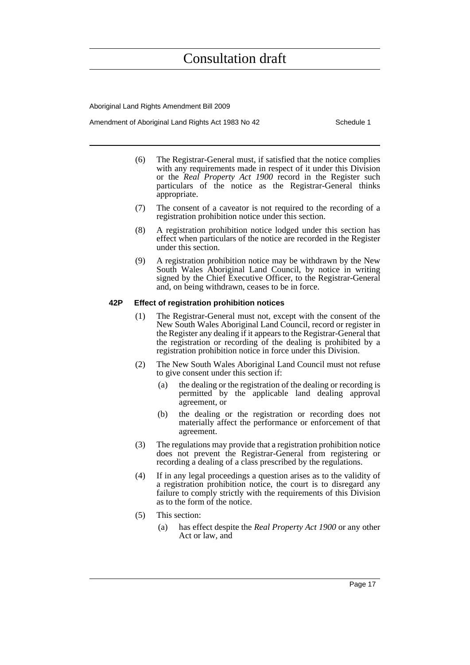Aboriginal Land Rights Amendment Bill 2009

Amendment of Aboriginal Land Rights Act 1983 No 42 Schedule 1

- (6) The Registrar-General must, if satisfied that the notice complies with any requirements made in respect of it under this Division or the *Real Property Act 1900* record in the Register such particulars of the notice as the Registrar-General thinks appropriate.
- (7) The consent of a caveator is not required to the recording of a registration prohibition notice under this section.
- (8) A registration prohibition notice lodged under this section has effect when particulars of the notice are recorded in the Register under this section.
- (9) A registration prohibition notice may be withdrawn by the New South Wales Aboriginal Land Council, by notice in writing signed by the Chief Executive Officer, to the Registrar-General and, on being withdrawn, ceases to be in force.

### **42P Effect of registration prohibition notices**

- (1) The Registrar-General must not, except with the consent of the New South Wales Aboriginal Land Council, record or register in the Register any dealing if it appears to the Registrar-General that the registration or recording of the dealing is prohibited by a registration prohibition notice in force under this Division.
- (2) The New South Wales Aboriginal Land Council must not refuse to give consent under this section if:
	- (a) the dealing or the registration of the dealing or recording is permitted by the applicable land dealing approval agreement, or
	- (b) the dealing or the registration or recording does not materially affect the performance or enforcement of that agreement.
- (3) The regulations may provide that a registration prohibition notice does not prevent the Registrar-General from registering or recording a dealing of a class prescribed by the regulations.
- (4) If in any legal proceedings a question arises as to the validity of a registration prohibition notice, the court is to disregard any failure to comply strictly with the requirements of this Division as to the form of the notice.
- (5) This section:
	- (a) has effect despite the *Real Property Act 1900* or any other Act or law, and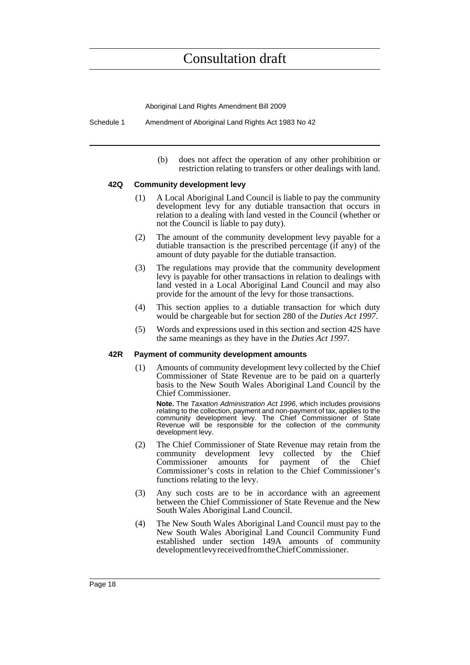Aboriginal Land Rights Amendment Bill 2009

Schedule 1 Amendment of Aboriginal Land Rights Act 1983 No 42

(b) does not affect the operation of any other prohibition or restriction relating to transfers or other dealings with land.

### **42Q Community development levy**

- (1) A Local Aboriginal Land Council is liable to pay the community development levy for any dutiable transaction that occurs in relation to a dealing with land vested in the Council (whether or not the Council is liable to pay duty).
- (2) The amount of the community development levy payable for a dutiable transaction is the prescribed percentage (if any) of the amount of duty payable for the dutiable transaction.
- (3) The regulations may provide that the community development levy is payable for other transactions in relation to dealings with land vested in a Local Aboriginal Land Council and may also provide for the amount of the levy for those transactions.
- (4) This section applies to a dutiable transaction for which duty would be chargeable but for section 280 of the *Duties Act 1997*.
- (5) Words and expressions used in this section and section 42S have the same meanings as they have in the *Duties Act 1997*.

#### **42R Payment of community development amounts**

(1) Amounts of community development levy collected by the Chief Commissioner of State Revenue are to be paid on a quarterly basis to the New South Wales Aboriginal Land Council by the Chief Commissioner.

**Note.** The *Taxation Administration Act 1996*, which includes provisions relating to the collection, payment and non-payment of tax, applies to the community development levy. The Chief Commissioner of State Revenue will be responsible for the collection of the community development levy.

- (2) The Chief Commissioner of State Revenue may retain from the community development levy collected by the Chief Commissioner amounts for payment of the Chief Commissioner's costs in relation to the Chief Commissioner's functions relating to the levy.
- (3) Any such costs are to be in accordance with an agreement between the Chief Commissioner of State Revenue and the New South Wales Aboriginal Land Council.
- (4) The New South Wales Aboriginal Land Council must pay to the New South Wales Aboriginal Land Council Community Fund established under section 149A amounts of community development levy received from the Chief Commissioner.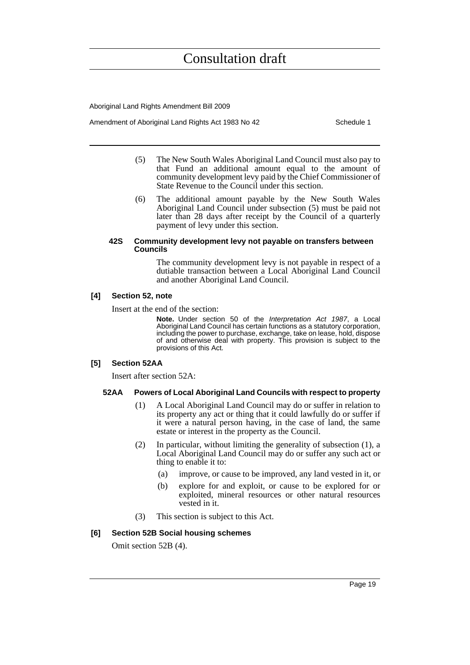Aboriginal Land Rights Amendment Bill 2009

Amendment of Aboriginal Land Rights Act 1983 No 42 Schedule 1

- (5) The New South Wales Aboriginal Land Council must also pay to that Fund an additional amount equal to the amount of community development levy paid by the Chief Commissioner of State Revenue to the Council under this section.
- (6) The additional amount payable by the New South Wales Aboriginal Land Council under subsection (5) must be paid not later than 28 days after receipt by the Council of a quarterly payment of levy under this section.

### **42S Community development levy not payable on transfers between Councils**

The community development levy is not payable in respect of a dutiable transaction between a Local Aboriginal Land Council and another Aboriginal Land Council.

### **[4] Section 52, note**

Insert at the end of the section:

**Note.** Under section 50 of the *Interpretation Act 1987*, a Local Aboriginal Land Council has certain functions as a statutory corporation, including the power to purchase, exchange, take on lease, hold, dispose of and otherwise deal with property. This provision is subject to the provisions of this Act.

### **[5] Section 52AA**

Insert after section 52A:

### **52AA Powers of Local Aboriginal Land Councils with respect to property**

- (1) A Local Aboriginal Land Council may do or suffer in relation to its property any act or thing that it could lawfully do or suffer if it were a natural person having, in the case of land, the same estate or interest in the property as the Council.
- (2) In particular, without limiting the generality of subsection (1), a Local Aboriginal Land Council may do or suffer any such act or thing to enable it to:
	- (a) improve, or cause to be improved, any land vested in it, or
	- (b) explore for and exploit, or cause to be explored for or exploited, mineral resources or other natural resources vested in it.
- (3) This section is subject to this Act.

### **[6] Section 52B Social housing schemes**

Omit section 52B (4).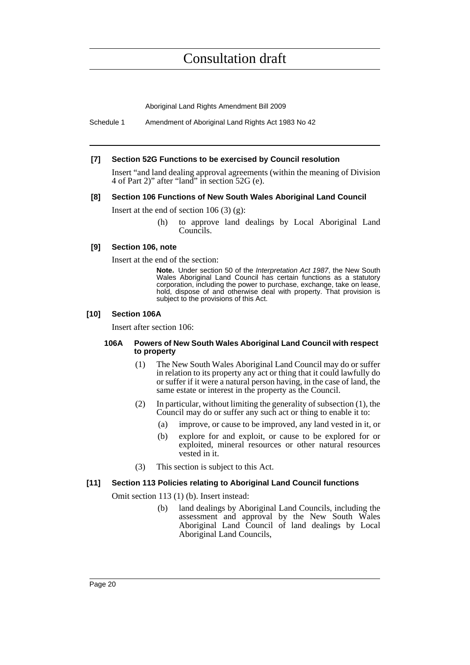Aboriginal Land Rights Amendment Bill 2009

Schedule 1 Amendment of Aboriginal Land Rights Act 1983 No 42

### **[7] Section 52G Functions to be exercised by Council resolution**

Insert "and land dealing approval agreements (within the meaning of Division 4 of Part 2)" after "land" in section 52G (e).

#### **[8] Section 106 Functions of New South Wales Aboriginal Land Council**

Insert at the end of section  $106(3)(g)$ :

(h) to approve land dealings by Local Aboriginal Land Councils.

### **[9] Section 106, note**

Insert at the end of the section:

**Note.** Under section 50 of the *Interpretation Act 1987*, the New South Wales Aboriginal Land Council has certain functions as a statutory corporation, including the power to purchase, exchange, take on lease, hold, dispose of and otherwise deal with property. That provision is subject to the provisions of this Act.

### **[10] Section 106A**

Insert after section 106:

#### **106A Powers of New South Wales Aboriginal Land Council with respect to property**

- (1) The New South Wales Aboriginal Land Council may do or suffer in relation to its property any act or thing that it could lawfully do or suffer if it were a natural person having, in the case of land, the same estate or interest in the property as the Council.
- (2) In particular, without limiting the generality of subsection (1), the Council may do or suffer any such act or thing to enable it to:
	- (a) improve, or cause to be improved, any land vested in it, or
	- (b) explore for and exploit, or cause to be explored for or exploited, mineral resources or other natural resources vested in it.
- (3) This section is subject to this Act.

### **[11] Section 113 Policies relating to Aboriginal Land Council functions**

Omit section 113 (1) (b). Insert instead:

(b) land dealings by Aboriginal Land Councils, including the assessment and approval by the New South Wales Aboriginal Land Council of land dealings by Local Aboriginal Land Councils,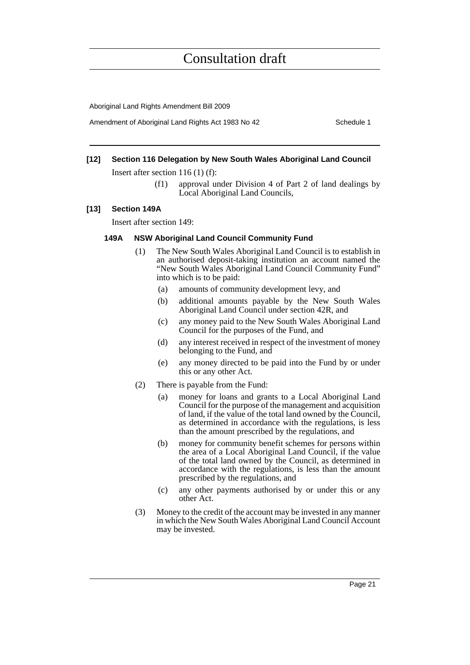Aboriginal Land Rights Amendment Bill 2009

Amendment of Aboriginal Land Rights Act 1983 No 42 Schedule 1

### **[12] Section 116 Delegation by New South Wales Aboriginal Land Council**

Insert after section 116 (1) (f):

(f1) approval under Division 4 of Part 2 of land dealings by Local Aboriginal Land Councils,

#### **[13] Section 149A**

Insert after section 149:

#### **149A NSW Aboriginal Land Council Community Fund**

- (1) The New South Wales Aboriginal Land Council is to establish in an authorised deposit-taking institution an account named the "New South Wales Aboriginal Land Council Community Fund" into which is to be paid:
	- (a) amounts of community development levy, and
	- (b) additional amounts payable by the New South Wales Aboriginal Land Council under section 42R, and
	- (c) any money paid to the New South Wales Aboriginal Land Council for the purposes of the Fund, and
	- (d) any interest received in respect of the investment of money belonging to the Fund, and
	- (e) any money directed to be paid into the Fund by or under this or any other Act.
- (2) There is payable from the Fund:
	- (a) money for loans and grants to a Local Aboriginal Land Council for the purpose of the management and acquisition of land, if the value of the total land owned by the Council, as determined in accordance with the regulations, is less than the amount prescribed by the regulations, and
	- (b) money for community benefit schemes for persons within the area of a Local Aboriginal Land Council, if the value of the total land owned by the Council, as determined in accordance with the regulations, is less than the amount prescribed by the regulations, and
	- (c) any other payments authorised by or under this or any other Act.
- (3) Money to the credit of the account may be invested in any manner in which the New South Wales Aboriginal Land Council Account may be invested.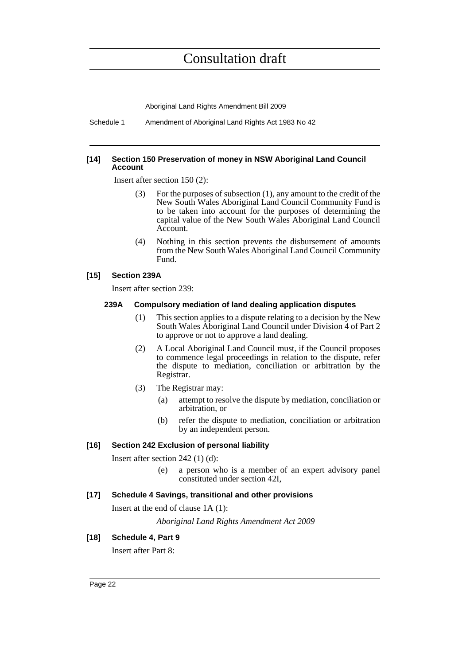Aboriginal Land Rights Amendment Bill 2009

Schedule 1 Amendment of Aboriginal Land Rights Act 1983 No 42

#### **[14] Section 150 Preservation of money in NSW Aboriginal Land Council Account**

Insert after section 150 (2):

- (3) For the purposes of subsection (1), any amount to the credit of the New South Wales Aboriginal Land Council Community Fund is to be taken into account for the purposes of determining the capital value of the New South Wales Aboriginal Land Council Account.
- (4) Nothing in this section prevents the disbursement of amounts from the New South Wales Aboriginal Land Council Community Fund.

### **[15] Section 239A**

Insert after section 239:

### **239A Compulsory mediation of land dealing application disputes**

- (1) This section applies to a dispute relating to a decision by the New South Wales Aboriginal Land Council under Division 4 of Part 2 to approve or not to approve a land dealing.
- (2) A Local Aboriginal Land Council must, if the Council proposes to commence legal proceedings in relation to the dispute, refer the dispute to mediation, conciliation or arbitration by the Registrar.
- (3) The Registrar may:
	- (a) attempt to resolve the dispute by mediation, conciliation or arbitration, or
	- (b) refer the dispute to mediation, conciliation or arbitration by an independent person.

### **[16] Section 242 Exclusion of personal liability**

Insert after section 242 (1) (d):

(e) a person who is a member of an expert advisory panel constituted under section 42I,

### **[17] Schedule 4 Savings, transitional and other provisions**

Insert at the end of clause 1A (1):

*Aboriginal Land Rights Amendment Act 2009*

### **[18] Schedule 4, Part 9**

Insert after Part 8: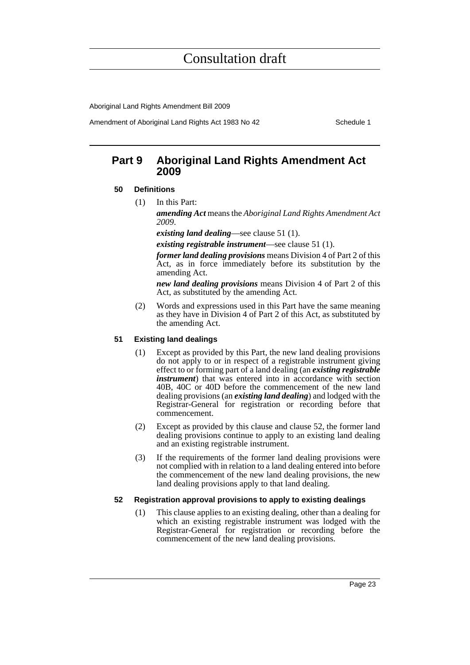Aboriginal Land Rights Amendment Bill 2009

Amendment of Aboriginal Land Rights Act 1983 No 42 Schedule 1

### **Part 9 Aboriginal Land Rights Amendment Act 2009**

### **50 Definitions**

(1) In this Part:

*amending Act* means the *Aboriginal Land Rights Amendment Act 2009*.

*existing land dealing*—see clause 51 (1).

*existing registrable instrument*—see clause 51 (1).

*former land dealing provisions* means Division 4 of Part 2 of this Act, as in force immediately before its substitution by the amending Act.

*new land dealing provisions* means Division 4 of Part 2 of this Act, as substituted by the amending Act.

(2) Words and expressions used in this Part have the same meaning as they have in Division 4 of Part 2 of this Act, as substituted by the amending Act.

### **51 Existing land dealings**

- (1) Except as provided by this Part, the new land dealing provisions do not apply to or in respect of a registrable instrument giving effect to or forming part of a land dealing (an *existing registrable instrument*) that was entered into in accordance with section 40B, 40C or 40D before the commencement of the new land dealing provisions (an *existing land dealing*) and lodged with the Registrar-General for registration or recording before that commencement.
- (2) Except as provided by this clause and clause 52, the former land dealing provisions continue to apply to an existing land dealing and an existing registrable instrument.
- (3) If the requirements of the former land dealing provisions were not complied with in relation to a land dealing entered into before the commencement of the new land dealing provisions, the new land dealing provisions apply to that land dealing.

### **52 Registration approval provisions to apply to existing dealings**

(1) This clause applies to an existing dealing, other than a dealing for which an existing registrable instrument was lodged with the Registrar-General for registration or recording before the commencement of the new land dealing provisions.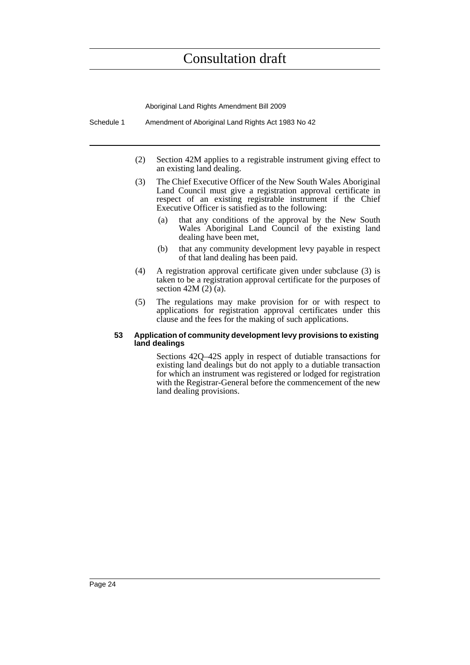Aboriginal Land Rights Amendment Bill 2009

- Schedule 1 Amendment of Aboriginal Land Rights Act 1983 No 42
	- (2) Section 42M applies to a registrable instrument giving effect to an existing land dealing.
	- (3) The Chief Executive Officer of the New South Wales Aboriginal Land Council must give a registration approval certificate in respect of an existing registrable instrument if the Chief Executive Officer is satisfied as to the following:
		- (a) that any conditions of the approval by the New South Wales Aboriginal Land Council of the existing land dealing have been met,
		- (b) that any community development levy payable in respect of that land dealing has been paid.
	- (4) A registration approval certificate given under subclause (3) is taken to be a registration approval certificate for the purposes of section 42M  $(2)$  (a).
	- (5) The regulations may make provision for or with respect to applications for registration approval certificates under this clause and the fees for the making of such applications.

#### **53 Application of community development levy provisions to existing land dealings**

Sections 42Q–42S apply in respect of dutiable transactions for existing land dealings but do not apply to a dutiable transaction for which an instrument was registered or lodged for registration with the Registrar-General before the commencement of the new land dealing provisions.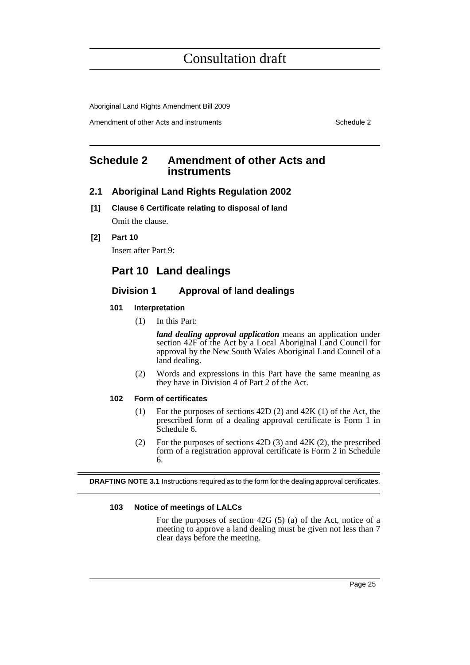Aboriginal Land Rights Amendment Bill 2009

Amendment of other Acts and instruments **Schedule 2** Schedule 2

### <span id="page-34-0"></span>**Schedule 2 Amendment of other Acts and instruments**

### **2.1 Aboriginal Land Rights Regulation 2002**

**[1] Clause 6 Certificate relating to disposal of land** Omit the clause.

### **[2] Part 10**

Insert after Part 9:

### **Part 10 Land dealings**

### **Division 1 Approval of land dealings**

### **101 Interpretation**

(1) In this Part:

*land dealing approval application* means an application under section 42F of the Act by a Local Aboriginal Land Council for approval by the New South Wales Aboriginal Land Council of a land dealing.

(2) Words and expressions in this Part have the same meaning as they have in Division 4 of Part 2 of the Act.

### **102 Form of certificates**

- (1) For the purposes of sections 42D (2) and 42K (1) of the Act, the prescribed form of a dealing approval certificate is Form 1 in Schedule 6.
- (2) For the purposes of sections 42D (3) and 42K (2), the prescribed form of a registration approval certificate is Form 2 in Schedule 6.

**DRAFTING NOTE 3.1** Instructions required as to the form for the dealing approval certificates.

### **103 Notice of meetings of LALCs**

For the purposes of section 42G (5) (a) of the Act, notice of a meeting to approve a land dealing must be given not less than 7 clear days before the meeting.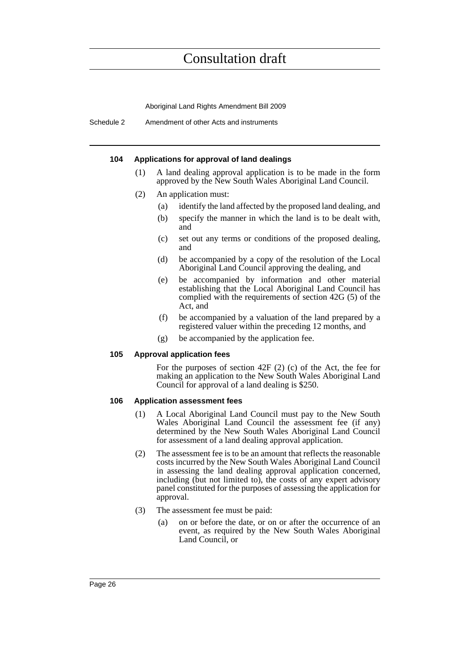Aboriginal Land Rights Amendment Bill 2009

Schedule 2 Amendment of other Acts and instruments

### **104 Applications for approval of land dealings**

- (1) A land dealing approval application is to be made in the form approved by the New South Wales Aboriginal Land Council.
- (2) An application must:
	- (a) identify the land affected by the proposed land dealing, and
	- (b) specify the manner in which the land is to be dealt with, and
	- (c) set out any terms or conditions of the proposed dealing, and
	- (d) be accompanied by a copy of the resolution of the Local Aboriginal Land Council approving the dealing, and
	- (e) be accompanied by information and other material establishing that the Local Aboriginal Land Council has complied with the requirements of section 42G (5) of the Act, and
	- (f) be accompanied by a valuation of the land prepared by a registered valuer within the preceding 12 months, and
	- (g) be accompanied by the application fee.

### **105 Approval application fees**

For the purposes of section 42F (2) (c) of the Act, the fee for making an application to the New South Wales Aboriginal Land Council for approval of a land dealing is \$250.

### **106 Application assessment fees**

- (1) A Local Aboriginal Land Council must pay to the New South Wales Aboriginal Land Council the assessment fee (if any) determined by the New South Wales Aboriginal Land Council for assessment of a land dealing approval application.
- (2) The assessment fee is to be an amount that reflects the reasonable costs incurred by the New South Wales Aboriginal Land Council in assessing the land dealing approval application concerned, including (but not limited to), the costs of any expert advisory panel constituted for the purposes of assessing the application for approval.
- (3) The assessment fee must be paid:
	- (a) on or before the date, or on or after the occurrence of an event, as required by the New South Wales Aboriginal Land Council, or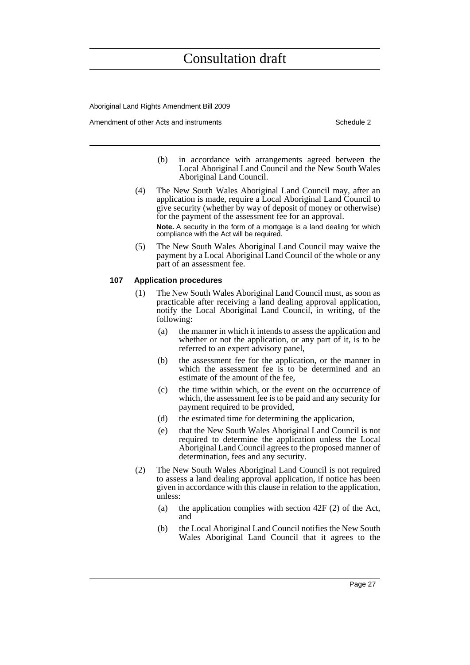Aboriginal Land Rights Amendment Bill 2009

Amendment of other Acts and instruments **Schedule 2** Schedule 2

- (b) in accordance with arrangements agreed between the Local Aboriginal Land Council and the New South Wales Aboriginal Land Council.
- (4) The New South Wales Aboriginal Land Council may, after an application is made, require a Local Aboriginal Land Council to give security (whether by way of deposit of money or otherwise) for the payment of the assessment fee for an approval. **Note.** A security in the form of a mortgage is a land dealing for which compliance with the Act will be required.
- (5) The New South Wales Aboriginal Land Council may waive the payment by a Local Aboriginal Land Council of the whole or any part of an assessment fee.

### **107 Application procedures**

- (1) The New South Wales Aboriginal Land Council must, as soon as practicable after receiving a land dealing approval application, notify the Local Aboriginal Land Council, in writing, of the following:
	- (a) the manner in which it intends to assess the application and whether or not the application, or any part of it, is to be referred to an expert advisory panel,
	- (b) the assessment fee for the application, or the manner in which the assessment fee is to be determined and an estimate of the amount of the fee,
	- (c) the time within which, or the event on the occurrence of which, the assessment fee is to be paid and any security for payment required to be provided,
	- (d) the estimated time for determining the application,
	- (e) that the New South Wales Aboriginal Land Council is not required to determine the application unless the Local Aboriginal Land Council agrees to the proposed manner of determination, fees and any security.
- (2) The New South Wales Aboriginal Land Council is not required to assess a land dealing approval application, if notice has been given in accordance with this clause in relation to the application, unless:
	- (a) the application complies with section 42F (2) of the Act, and
	- (b) the Local Aboriginal Land Council notifies the New South Wales Aboriginal Land Council that it agrees to the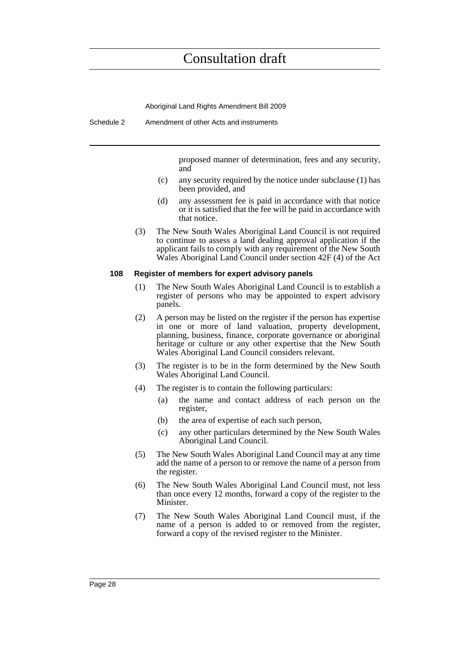Aboriginal Land Rights Amendment Bill 2009

Schedule 2 Amendment of other Acts and instruments

proposed manner of determination, fees and any security, and

- (c) any security required by the notice under subclause (1) has been provided, and
- (d) any assessment fee is paid in accordance with that notice or it is satisfied that the fee will be paid in accordance with that notice.
- (3) The New South Wales Aboriginal Land Council is not required to continue to assess a land dealing approval application if the applicant fails to comply with any requirement of the New South Wales Aboriginal Land Council under section 42F (4) of the Act

### **108 Register of members for expert advisory panels**

- (1) The New South Wales Aboriginal Land Council is to establish a register of persons who may be appointed to expert advisory panels.
- (2) A person may be listed on the register if the person has expertise in one or more of land valuation, property development, planning, business, finance, corporate governance or aboriginal heritage or culture or any other expertise that the New South Wales Aboriginal Land Council considers relevant.
- (3) The register is to be in the form determined by the New South Wales Aboriginal Land Council.
- (4) The register is to contain the following particulars:
	- (a) the name and contact address of each person on the register,
	- (b) the area of expertise of each such person,
	- (c) any other particulars determined by the New South Wales Aboriginal Land Council.
- (5) The New South Wales Aboriginal Land Council may at any time add the name of a person to or remove the name of a person from the register.
- (6) The New South Wales Aboriginal Land Council must, not less than once every 12 months, forward a copy of the register to the Minister.
- (7) The New South Wales Aboriginal Land Council must, if the name of a person is added to or removed from the register, forward a copy of the revised register to the Minister.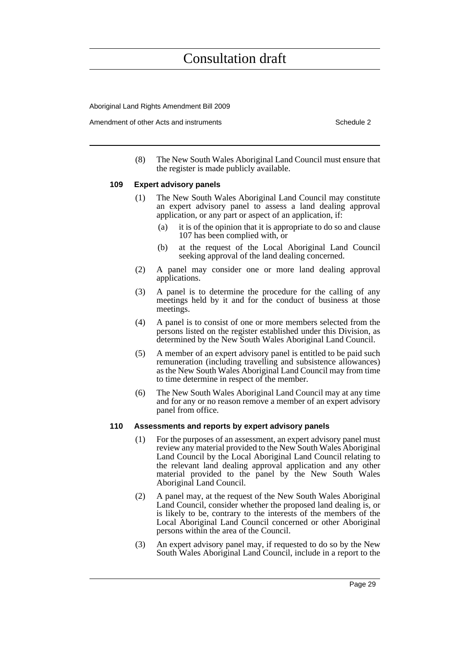Aboriginal Land Rights Amendment Bill 2009

Amendment of other Acts and instruments **Schedule 2** Schedule 2

(8) The New South Wales Aboriginal Land Council must ensure that the register is made publicly available.

#### **109 Expert advisory panels**

- (1) The New South Wales Aboriginal Land Council may constitute an expert advisory panel to assess a land dealing approval application, or any part or aspect of an application, if:
	- (a) it is of the opinion that it is appropriate to do so and clause 107 has been complied with, or
	- (b) at the request of the Local Aboriginal Land Council seeking approval of the land dealing concerned.
- (2) A panel may consider one or more land dealing approval applications.
- (3) A panel is to determine the procedure for the calling of any meetings held by it and for the conduct of business at those meetings.
- (4) A panel is to consist of one or more members selected from the persons listed on the register established under this Division, as determined by the New South Wales Aboriginal Land Council.
- (5) A member of an expert advisory panel is entitled to be paid such remuneration (including travelling and subsistence allowances) as the New South Wales Aboriginal Land Council may from time to time determine in respect of the member.
- (6) The New South Wales Aboriginal Land Council may at any time and for any or no reason remove a member of an expert advisory panel from office.

### **110 Assessments and reports by expert advisory panels**

- (1) For the purposes of an assessment, an expert advisory panel must review any material provided to the New South Wales Aboriginal Land Council by the Local Aboriginal Land Council relating to the relevant land dealing approval application and any other material provided to the panel by the New South Wales Aboriginal Land Council.
- (2) A panel may, at the request of the New South Wales Aboriginal Land Council, consider whether the proposed land dealing is, or is likely to be, contrary to the interests of the members of the Local Aboriginal Land Council concerned or other Aboriginal persons within the area of the Council.
- (3) An expert advisory panel may, if requested to do so by the New South Wales Aboriginal Land Council, include in a report to the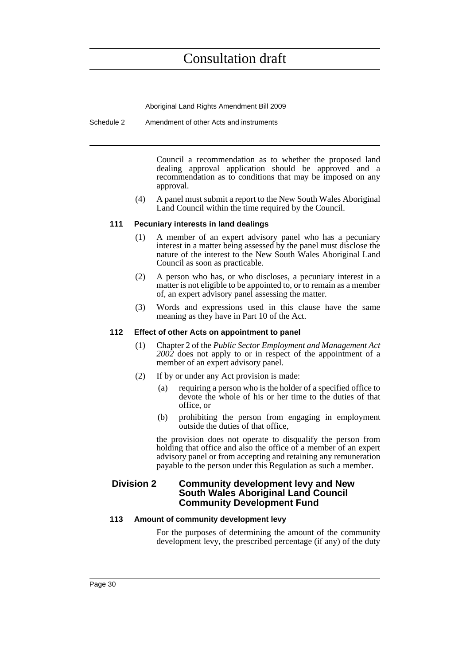Aboriginal Land Rights Amendment Bill 2009

Schedule 2 Amendment of other Acts and instruments

Council a recommendation as to whether the proposed land dealing approval application should be approved and a recommendation as to conditions that may be imposed on any approval.

(4) A panel must submit a report to the New South Wales Aboriginal Land Council within the time required by the Council.

### **111 Pecuniary interests in land dealings**

- (1) A member of an expert advisory panel who has a pecuniary interest in a matter being assessed by the panel must disclose the nature of the interest to the New South Wales Aboriginal Land Council as soon as practicable.
- (2) A person who has, or who discloses, a pecuniary interest in a matter is not eligible to be appointed to, or to remain as a member of, an expert advisory panel assessing the matter.
- (3) Words and expressions used in this clause have the same meaning as they have in Part 10 of the Act.

### **112 Effect of other Acts on appointment to panel**

- (1) Chapter 2 of the *Public Sector Employment and Management Act 2002* does not apply to or in respect of the appointment of a member of an expert advisory panel.
- (2) If by or under any Act provision is made:
	- (a) requiring a person who is the holder of a specified office to devote the whole of his or her time to the duties of that office, or
	- (b) prohibiting the person from engaging in employment outside the duties of that office,

the provision does not operate to disqualify the person from holding that office and also the office of a member of an expert advisory panel or from accepting and retaining any remuneration payable to the person under this Regulation as such a member.

### **Division 2 Community development levy and New South Wales Aboriginal Land Council Community Development Fund**

### **113 Amount of community development levy**

For the purposes of determining the amount of the community development levy, the prescribed percentage (if any) of the duty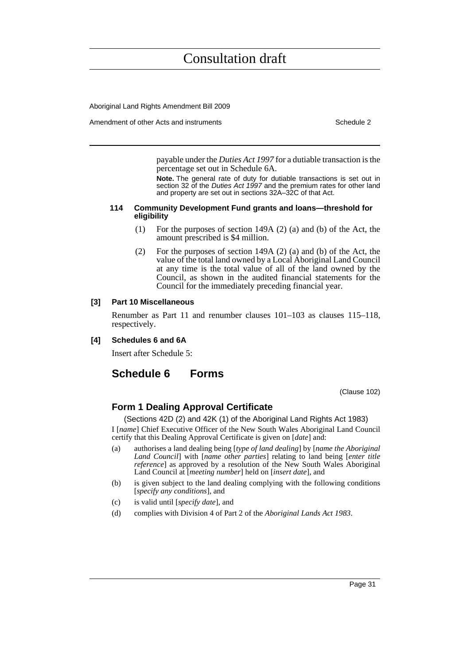Aboriginal Land Rights Amendment Bill 2009

Amendment of other Acts and instruments **Schedule 2** Schedule 2

payable under the *Duties Act 1997* for a dutiable transaction is the percentage set out in Schedule 6A.

**Note.** The general rate of duty for dutiable transactions is set out in section 32 of the *Duties Act 1997* and the premium rates for other land and property are set out in sections 32A–32C of that Act.

#### **114 Community Development Fund grants and loans—threshold for eligibility**

- (1) For the purposes of section 149A (2) (a) and (b) of the Act, the amount prescribed is \$4 million.
- (2) For the purposes of section 149A (2) (a) and (b) of the Act, the value of the total land owned by a Local Aboriginal Land Council at any time is the total value of all of the land owned by the Council, as shown in the audited financial statements for the Council for the immediately preceding financial year.

### **[3] Part 10 Miscellaneous**

Renumber as Part 11 and renumber clauses 101–103 as clauses 115–118, respectively.

**[4] Schedules 6 and 6A**

Insert after Schedule 5:

### **Schedule 6 Forms**

(Clause 102)

### **Form 1 Dealing Approval Certificate**

(Sections 42D (2) and 42K (1) of the Aboriginal Land Rights Act 1983)

I [*name*] Chief Executive Officer of the New South Wales Aboriginal Land Council certify that this Dealing Approval Certificate is given on [*date*] and:

- (a) authorises a land dealing being [*type of land dealing*] by [*name the Aboriginal Land Council*] with [*name other parties*] relating to land being [*enter title reference*] as approved by a resolution of the New South Wales Aboriginal Land Council at [*meeting number*] held on [*insert date*], and
- (b) is given subject to the land dealing complying with the following conditions [*specify any conditions*], and
- (c) is valid until [*specify date*], and
- (d) complies with Division 4 of Part 2 of the *Aboriginal Lands Act 1983*.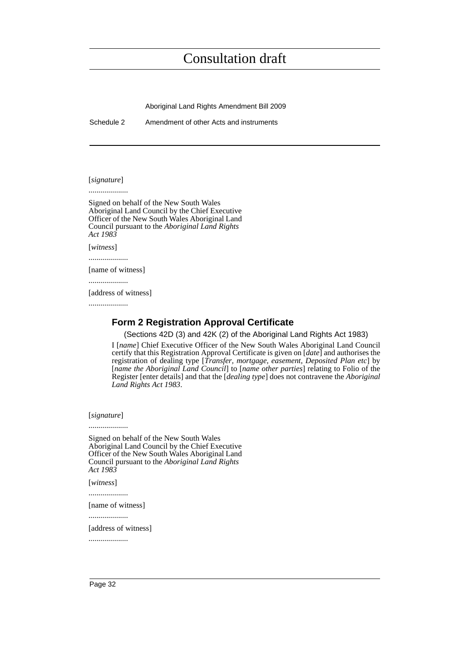Aboriginal Land Rights Amendment Bill 2009

Schedule 2 Amendment of other Acts and instruments

#### [*signature*]

....................

Signed on behalf of the New South Wales Aboriginal Land Council by the Chief Executive Officer of the New South Wales Aboriginal Land Council pursuant to the *Aboriginal Land Rights Act 1983*

[*witness*]

....................

[name of witness]

....................

[address of witness]

....................

### **Form 2 Registration Approval Certificate**

(Sections 42D (3) and 42K (2) of the Aboriginal Land Rights Act 1983)

I [*name*] Chief Executive Officer of the New South Wales Aboriginal Land Council certify that this Registration Approval Certificate is given on [*date*] and authorises the registration of dealing type [*Transfer, mortgage, easement, Deposited Plan etc*] by [*name the Aboriginal Land Council*] to [*name other parties*] relating to Folio of the Register [enter details] and that the [*dealing type*] does not contravene the *Aboriginal Land Rights Act 1983*.

[*signature*]

....................

Signed on behalf of the New South Wales Aboriginal Land Council by the Chief Executive Officer of the New South Wales Aboriginal Land Council pursuant to the *Aboriginal Land Rights Act 1983*

[*witness*]

....................

[name of witness]

....................

[address of witness]

....................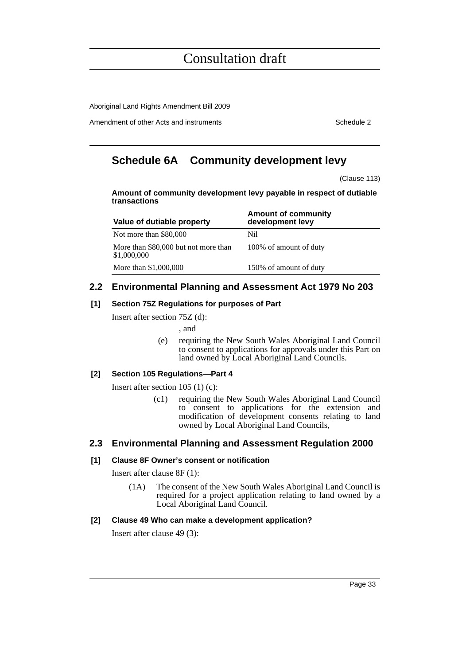Aboriginal Land Rights Amendment Bill 2009

Amendment of other Acts and instruments **Schedule 2** Schedule 2

### **Schedule 6A Community development levy**

(Clause 113)

**Amount of community development levy payable in respect of dutiable transactions**

| Value of dutiable property                          | <b>Amount of community</b><br>development levy |
|-----------------------------------------------------|------------------------------------------------|
| Not more than \$80,000                              | Nil.                                           |
| More than \$80,000 but not more than<br>\$1,000,000 | 100% of amount of duty                         |
| More than \$1,000,000                               | 150% of amount of duty                         |

### **2.2 Environmental Planning and Assessment Act 1979 No 203**

### **[1] Section 75Z Regulations for purposes of Part**

Insert after section 75Z (d):

, and

(e) requiring the New South Wales Aboriginal Land Council to consent to applications for approvals under this Part on land owned by Local Aboriginal Land Councils.

### **[2] Section 105 Regulations—Part 4**

Insert after section 105 (1) (c):

(c1) requiring the New South Wales Aboriginal Land Council to consent to applications for the extension and modification of development consents relating to land owned by Local Aboriginal Land Councils,

### **2.3 Environmental Planning and Assessment Regulation 2000**

### **[1] Clause 8F Owner's consent or notification**

Insert after clause 8F (1):

(1A) The consent of the New South Wales Aboriginal Land Council is required for a project application relating to land owned by a Local Aboriginal Land Council.

### **[2] Clause 49 Who can make a development application?**

Insert after clause 49 (3):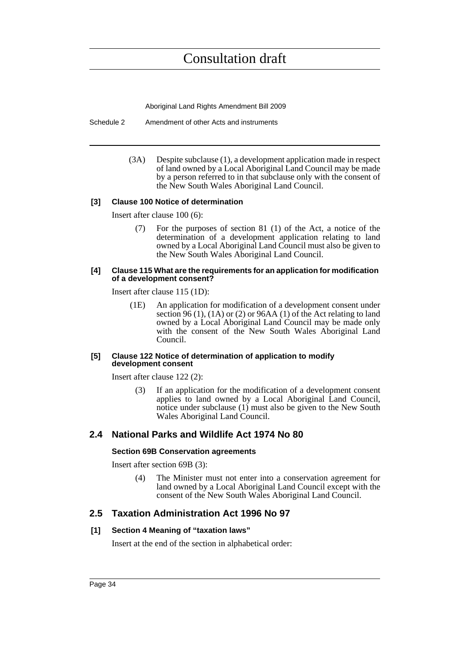Aboriginal Land Rights Amendment Bill 2009

Schedule 2 Amendment of other Acts and instruments

(3A) Despite subclause (1), a development application made in respect of land owned by a Local Aboriginal Land Council may be made by a person referred to in that subclause only with the consent of the New South Wales Aboriginal Land Council.

### **[3] Clause 100 Notice of determination**

Insert after clause 100 (6):

(7) For the purposes of section 81 (1) of the Act, a notice of the determination of a development application relating to land owned by a Local Aboriginal Land Council must also be given to the New South Wales Aboriginal Land Council.

### **[4] Clause 115 What are the requirements for an application for modification of a development consent?**

Insert after clause 115 (1D):

(1E) An application for modification of a development consent under section 96 (1), (1A) or (2) or 96AA (1) of the Act relating to land owned by a Local Aboriginal Land Council may be made only with the consent of the New South Wales Aboriginal Land Council.

### **[5] Clause 122 Notice of determination of application to modify development consent**

Insert after clause 122 (2):

(3) If an application for the modification of a development consent applies to land owned by a Local Aboriginal Land Council, notice under subclause (1) must also be given to the New South Wales Aboriginal Land Council.

### **2.4 National Parks and Wildlife Act 1974 No 80**

### **Section 69B Conservation agreements**

Insert after section 69B (3):

(4) The Minister must not enter into a conservation agreement for land owned by a Local Aboriginal Land Council except with the consent of the New South Wales Aboriginal Land Council.

### **2.5 Taxation Administration Act 1996 No 97**

### **[1] Section 4 Meaning of "taxation laws"**

Insert at the end of the section in alphabetical order: